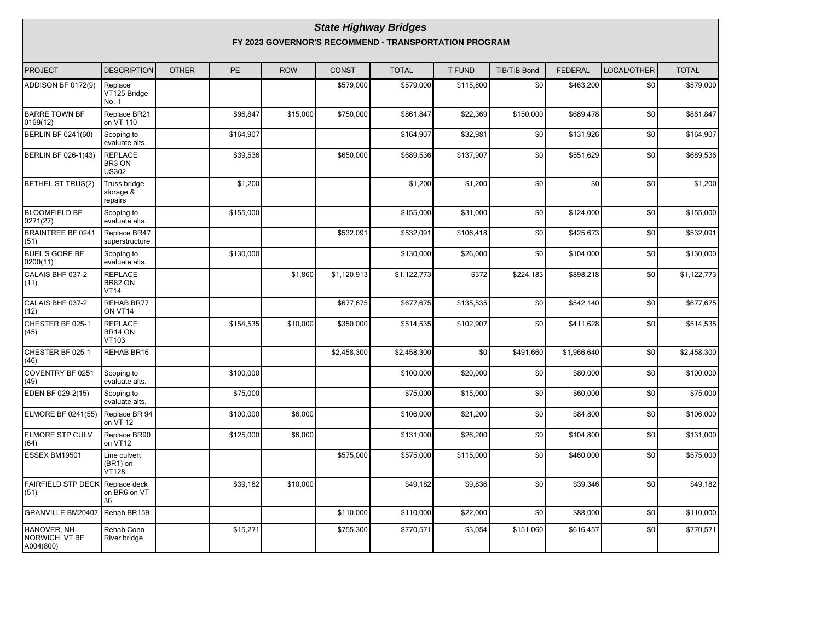#### **State Highway Bridges FY 2023 GOVERNOR'S RECOMMEND - TRANSPORTATION PROGRAM**

| <b>PROJECT</b>                              | <b>DESCRIPTION</b>                       | <b>OTHER</b> | <b>PE</b> | <b>ROW</b> | <b>CONST</b> | <b>TOTAL</b> | <b>T FUND</b> | <b>TIB/TIB Bond</b> | <b>FEDERAL</b> | LOCAL/OTHER | <b>TOTAL</b> |
|---------------------------------------------|------------------------------------------|--------------|-----------|------------|--------------|--------------|---------------|---------------------|----------------|-------------|--------------|
| ADDISON BF 0172(9)                          | Replace<br>VT125 Bridge<br>No. 1         |              |           |            | \$579,000    | \$579,000    | \$115,800     | \$0                 | \$463,200      | \$0         | \$579,000    |
| <b>BARRE TOWN BF</b><br>0169(12)            | Replace BR21<br>on VT 110                |              | \$96,847  | \$15,000   | \$750,000    | \$861,847    | \$22,369      | \$150,000           | \$689,478      | \$0         | \$861,847    |
| <b>BERLIN BF 0241(60)</b>                   | Scoping to<br>evaluate alts.             |              | \$164,907 |            |              | \$164,907    | \$32,981      | \$0                 | \$131,926      | \$0         | \$164,907    |
| BERLIN BF 026-1(43)                         | <b>REPLACE</b><br>BR3 ON<br><b>US302</b> |              | \$39,536  |            | \$650,000    | \$689,536    | \$137,907     | \$0                 | \$551.629      | \$0         | \$689,536    |
| <b>BETHEL ST TRUS(2)</b>                    | Truss bridge<br>storage &<br>repairs     |              | \$1,200   |            |              | \$1,200      | \$1,200       | \$0                 | \$0            | \$0         | \$1,200      |
| <b>BLOOMFIELD BF</b><br>0271(27)            | Scoping to<br>evaluate alts.             |              | \$155,000 |            |              | \$155,000    | \$31,000      | \$0                 | \$124,000      | \$0         | \$155,000    |
| <b>BRAINTREE BF 0241</b><br>(51)            | Replace BR47<br>superstructure           |              |           |            | \$532,091    | \$532,091    | \$106,418     | \$0                 | \$425,673      | \$0         | \$532,091    |
| <b>BUEL'S GORE BF</b><br>0200(11)           | Scoping to<br>evaluate alts.             |              | \$130,000 |            |              | \$130,000    | \$26,000      | \$0                 | \$104,000      | \$0         | \$130,000    |
| CALAIS BHF 037-2<br>(11)                    | <b>REPLACE</b><br>BR82 ON<br><b>VT14</b> |              |           | \$1,860    | \$1,120,913  | \$1,122,773  | \$372         | \$224,183           | \$898,218      | \$0         | \$1,122,773  |
| CALAIS BHF 037-2<br>(12)                    | REHAB BR77<br>ON VT14                    |              |           |            | \$677,675    | \$677,675    | \$135,535     | \$0                 | \$542,140      | \$0         | \$677,675    |
| CHESTER BF 025-1<br>(45)                    | <b>REPLACE</b><br>BR14 ON<br>VT103       |              | \$154,535 | \$10,000   | \$350,000    | \$514,535    | \$102,907     | \$0                 | \$411,628      | \$0         | \$514,535    |
| CHESTER BF 025-1<br>(46)                    | REHAB BR16                               |              |           |            | \$2,458,300  | \$2,458,300  | \$0           | \$491.660           | \$1,966,640    | \$0         | \$2,458,300  |
| COVENTRY BF 0251<br>(49)                    | Scoping to<br>evaluate alts.             |              | \$100,000 |            |              | \$100,000    | \$20,000      | \$0                 | \$80,000       | \$0         | \$100,000    |
| EDEN BF 029-2(15)                           | Scoping to<br>evaluate alts.             |              | \$75,000  |            |              | \$75,000     | \$15,000      | \$0                 | \$60,000       | \$0         | \$75,000     |
| <b>ELMORE BF 0241(55)</b>                   | Replace BR 94<br>on VT 12                |              | \$100,000 | \$6,000    |              | \$106,000    | \$21,200      | \$0                 | \$84,800       | \$0         | \$106,000    |
| <b>ELMORE STP CULV</b><br>(64)              | Replace BR90<br>on VT12                  |              | \$125,000 | \$6,000    |              | \$131,000    | \$26,200      | \$0                 | \$104,800      | \$0         | \$131,000    |
| ESSEX BM19501                               | Line culvert<br>(BR1) on<br><b>VT128</b> |              |           |            | \$575,000    | \$575,000    | \$115,000     | \$0                 | \$460,000      | \$0         | \$575,000    |
| <b>FAIRFIELD STP DECK</b><br>(51)           | Replace deck<br>on BR6 on VT<br>36       |              | \$39,182  | \$10,000   |              | \$49,182     | \$9,836       | \$0                 | \$39,346       | \$0         | \$49,182     |
| <b>GRANVILLE BM20407</b>                    | Rehab BR159                              |              |           |            | \$110,000    | \$110,000    | \$22,000      | \$0                 | \$88,000       | \$0         | \$110,000    |
| HANOVER, NH-<br>NORWICH, VT BF<br>A004(800) | Rehab Conn<br>River bridge               |              | \$15,271  |            | \$755,300    | \$770,571    | \$3,054       | \$151.060           | \$616,457      | \$0         | \$770,571    |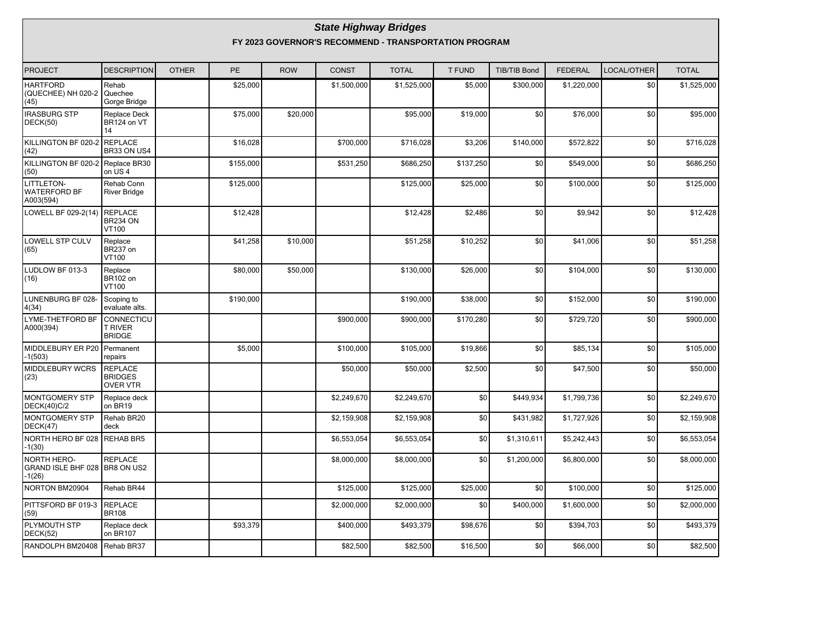#### **State Highway Bridges FY 2023 GOVERNOR'S RECOMMEND - TRANSPORTATION PROGRAM**

| <b>PROJECT</b>                                                  | <b>DESCRIPTION</b>                            | <b>OTHER</b> | PE        | <b>ROW</b> | <b>CONST</b> | <b>TOTAL</b> | <b>T FUND</b> | <b>TIB/TIB Bond</b> | <b>FEDERAL</b> | LOCAL/OTHER     | <b>TOTAL</b> |
|-----------------------------------------------------------------|-----------------------------------------------|--------------|-----------|------------|--------------|--------------|---------------|---------------------|----------------|-----------------|--------------|
| <b>HARTFORD</b><br>(QUECHEE) NH 020-2<br>(45)                   | Rehab<br>Quechee<br>Gorge Bridge              |              | \$25,000  |            | \$1,500,000  | \$1,525,000  | \$5,000       | \$300,000           | \$1,220,000    | \$0             | \$1,525,000  |
| <b>IRASBURG STP</b><br>DECK(50)                                 | <b>Replace Deck</b><br>BR124 on VT<br>14      |              | \$75,000  | \$20,000   |              | \$95,000     | \$19,000      | \$0                 | \$76,000       | \$0             | \$95,000     |
| KILLINGTON BF 020-2<br>(42)                                     | <b>REPLACE</b><br>BR33 ON US4                 |              | \$16,028  |            | \$700,000    | \$716,028    | \$3,206       | \$140,000           | \$572,822      | \$0             | \$716,028    |
| KILLINGTON BF 020-2 Replace BR30<br>(50)                        | on US4                                        |              | \$155,000 |            | \$531,250    | \$686,250    | \$137,250     | \$0                 | \$549,000      | \$0             | \$686,250    |
| LITTLETON-<br><b>WATERFORD BF</b><br>A003(594)                  | Rehab Conn<br><b>River Bridge</b>             |              | \$125,000 |            |              | \$125,000    | \$25,000      | \$0                 | \$100,000      | \$0             | \$125,000    |
| LOWELL BF 029-2(14)                                             | <b>REPLACE</b><br>BR234 ON<br>VT100           |              | \$12,428  |            |              | \$12,428     | \$2,486       | \$0                 | \$9,942        | \$0             | \$12,428     |
| <b>LOWELL STP CULV</b><br>(65)                                  | Replace<br>BR237 on<br>VT100                  |              | \$41,258  | \$10,000   |              | \$51,258     | \$10,252      | \$0                 | \$41,006       | \$0             | \$51,258     |
| LUDLOW BF 013-3<br>(16)                                         | Replace<br><b>BR102 on</b><br>VT100           |              | \$80,000  | \$50,000   |              | \$130,000    | \$26,000      | \$0                 | \$104,000      | \$0             | \$130,000    |
| LUNENBURG BF 028-<br>4(34)                                      | Scoping to<br>evaluate alts.                  |              | \$190,000 |            |              | \$190,000    | \$38,000      | \$0                 | \$152,000      | $$0$$           | \$190,000    |
| LYME-THETFORD BF<br>A000(394)                                   | CONNECTICU<br><b>T RIVER</b><br><b>BRIDGE</b> |              |           |            | \$900,000    | \$900,000    | \$170,280     | \$0                 | \$729,720      | \$0             | \$900,000    |
| MIDDLEBURY ER P20<br>$-1(503)$                                  | Permanent<br>repairs                          |              | \$5,000   |            | \$100,000    | \$105,000    | \$19,866      | \$0                 | \$85,134       | \$0             | \$105,000    |
| <b>MIDDLEBURY WCRS</b><br>(23)                                  | REPLACE<br><b>BRIDGES</b><br><b>OVER VTR</b>  |              |           |            | \$50,000     | \$50,000     | \$2,500       | \$0                 | \$47,500       | \$0             | \$50,000     |
| MONTGOMERY STP<br><b>DECK(40)C/2</b>                            | Replace deck<br>on BR19                       |              |           |            | \$2,249,670  | \$2,249,670  | \$0           | \$449,934           | \$1,799,736    | \$0             | \$2,249,670  |
| MONTGOMERY STP<br>DECK(47)                                      | Rehab BR20<br>deck                            |              |           |            | \$2,159,908  | \$2,159,908  | \$0           | \$431,982           | \$1,727,926    | \$0             | \$2,159,908  |
| NORTH HERO BF 028<br>$-1(30)$                                   | <b>REHAB BR5</b>                              |              |           |            | \$6,553,054  | \$6,553,054  | \$0           | \$1,310,611         | \$5,242,443    | \$0             | \$6,553,054  |
| <b>NORTH HERO-</b><br>GRAND ISLE BHF 028 BR8 ON US2<br>$-1(26)$ | <b>REPLACE</b>                                |              |           |            | \$8,000,000  | \$8,000,000  | \$0           | \$1,200,000         | \$6,800,000    | \$0             | \$8,000,000  |
| NORTON BM20904                                                  | Rehab BR44                                    |              |           |            | \$125,000    | \$125,000    | \$25,000      | \$0                 | \$100,000      | $\overline{60}$ | \$125,000    |
| PITTSFORD BF 019-3<br>(59)                                      | <b>REPLACE</b><br><b>BR108</b>                |              |           |            | \$2,000,000  | \$2,000,000  | \$0           | \$400,000           | \$1,600,000    | \$0             | \$2,000,000  |
| PLYMOUTH STP<br>DECK(52)                                        | Replace deck<br>on BR107                      |              | \$93,379  |            | \$400,000    | \$493,379    | \$98,676      | \$0                 | \$394,703      | \$0             | \$493,379    |
| RANDOLPH BM20408                                                | Rehab BR37                                    |              |           |            | \$82,500     | \$82,500     | \$16,500      | \$0                 | \$66,000       | \$0             | \$82,500     |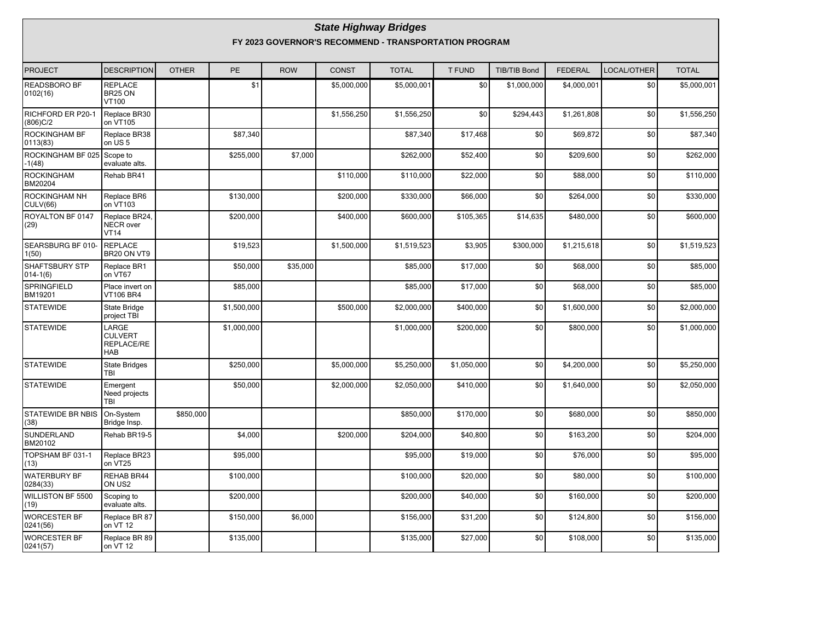#### **State Highway Bridges FY 2023 GOVERNOR'S RECOMMEND - TRANSPORTATION PROGRAM**

| PROJECT                                 | <b>DESCRIPTION</b>                                  | <b>OTHER</b> | <b>PE</b>            | <b>ROW</b> | <b>CONST</b>          | <b>TOTAL</b> | <b>T FUND</b> | <b>TIB/TIB Bond</b> | <b>FEDERAL</b> | LOCAL/OTHER | <b>TOTAL</b>            |
|-----------------------------------------|-----------------------------------------------------|--------------|----------------------|------------|-----------------------|--------------|---------------|---------------------|----------------|-------------|-------------------------|
| READSBORO BF<br>0102(16)                | REPLACE<br>BR25 ON<br>VT100                         |              | \$1                  |            | \$5,000,000           | \$5,000,001  | \$0           | \$1,000,000         | \$4,000,001    | \$0         | \$5,000,001             |
| RICHFORD ER P20-1<br>(806)C/2           | Replace BR30<br>on VT105                            |              |                      |            | \$1,556,250           | \$1,556,250  | \$0           | \$294,443           | \$1,261,808    | \$0         | \$1,556,250             |
| ROCKINGHAM BF<br>0113(83)               | Replace BR38<br>on US <sub>5</sub>                  |              | \$87,340             |            |                       | \$87,340     | \$17,468      | \$0                 | \$69,872       | \$0         | \$87,340                |
| ROCKINGHAM BF 025<br>$-1(48)$           | Scope to<br>evaluate alts.                          |              | \$255,000            | \$7,000    |                       | \$262,000    | \$52,400      | \$0                 | \$209,600      | \$0         | \$262,000               |
| <b>ROCKINGHAM</b><br>BM20204            | Rehab BR41                                          |              |                      |            | \$110,000             | \$110,000    | \$22,000      | \$0                 | \$88,000       | \$0         | \$110,000               |
| <b>ROCKINGHAM NH</b><br><b>CULV(66)</b> | Replace BR6<br>on VT103                             |              | \$130,000            |            | \$200,000             | \$330,000    | \$66,000      | \$0                 | \$264,000      | \$0         | \$330,000               |
| ROYALTON BF 0147<br>(29)                | Replace BR24,<br><b>NECR</b> over<br><b>VT14</b>    |              | \$200,000            |            | \$400,000             | \$600,000    | \$105,365     | \$14,635            | \$480,000      | \$0         | \$600,000               |
| SEARSBURG BF 010-<br>1(50)              | <b>REPLACE</b><br>BR20 ON VT9                       |              | $\overline{$19,523}$ |            | \$1,500,000           | \$1,519,523  | \$3,905       | \$300,000           | \$1,215,618    | \$0         | \$1,519,523             |
| <b>SHAFTSBURY STP</b><br>$014 - 1(6)$   | Replace BR1<br>on VT67                              |              | \$50,000             | \$35,000   |                       | \$85,000     | \$17,000      | \$0                 | \$68,000       | \$0         | \$85,000                |
| <b>SPRINGFIELD</b><br>BM19201           | Place invert on<br><b>VT106 BR4</b>                 |              | \$85,000             |            |                       | \$85,000     | \$17,000      | \$0                 | \$68,000       | \$0         | \$85,000                |
| <b>STATEWIDE</b>                        | State Bridge<br>project TBI                         |              | \$1,500,000          |            | \$500,000             | \$2,000,000  | \$400,000     | \$0                 | \$1,600,000    | \$0         | \$2,000,000             |
| <b>STATEWIDE</b>                        | LARGE<br><b>CULVERT</b><br>REPLACE/RE<br><b>HAB</b> |              | \$1,000,000          |            |                       | \$1,000,000  | \$200,000     | \$0                 | \$800,000      | \$0         | \$1,000,000             |
| STATEWIDE                               | <b>State Bridges</b><br>TBI                         |              | \$250,000            |            | \$5,000,000           | \$5,250,000  | \$1,050,000   | \$0                 | \$4,200,000    | \$0         | $\overline{$}5,250,000$ |
| <b>STATEWIDE</b>                        | Emergent<br>Need projects<br><b>TBI</b>             |              | \$50,000             |            | \$2,000,000           | \$2,050,000  | \$410,000     | \$0                 | \$1,640,000    | \$0         | \$2,050,000             |
| <b>STATEWIDE BR NBIS</b><br>(38)        | On-System<br>Bridge Insp.                           | \$850,000    |                      |            |                       | \$850,000    | \$170,000     | \$0                 | \$680,000      | \$0         | \$850,000               |
| SUNDERLAND<br>BM20102                   | Rehab BR19-5                                        |              | \$4,000              |            | $\overline{$}200,000$ | \$204,000    | \$40,800      | \$0                 | \$163,200      | \$0         | \$204,000               |
| TOPSHAM BF 031-1<br>(13)                | Replace BR23<br>on VT25                             |              | \$95,000             |            |                       | \$95,000     | \$19,000      | \$0                 | \$76,000       | \$0         | \$95,000                |
| <b>WATERBURY BF</b><br>0284(33)         | REHAB BR44<br>ON US2                                |              | \$100,000            |            |                       | \$100,000    | \$20,000      | \$0                 | \$80,000       | \$0         | \$100.000               |
| <b>WILLISTON BF 5500</b><br>(19)        | Scoping to<br>evaluate alts.                        |              | \$200,000            |            |                       | \$200,000    | \$40,000      | \$0                 | \$160,000      | \$0         | \$200,000               |
| <b>WORCESTER BF</b><br>0241(56)         | Replace BR 87<br>on VT 12                           |              | \$150,000            | \$6,000    |                       | \$156,000    | \$31,200      | \$0                 | \$124,800      | \$0         | \$156,000               |
| <b>WORCESTER BF</b><br> 0241(57)        | Replace BR 89<br>on VT 12                           |              | \$135,000            |            |                       | \$135,000    | \$27,000      | \$0                 | \$108,000      | \$0         | \$135,000               |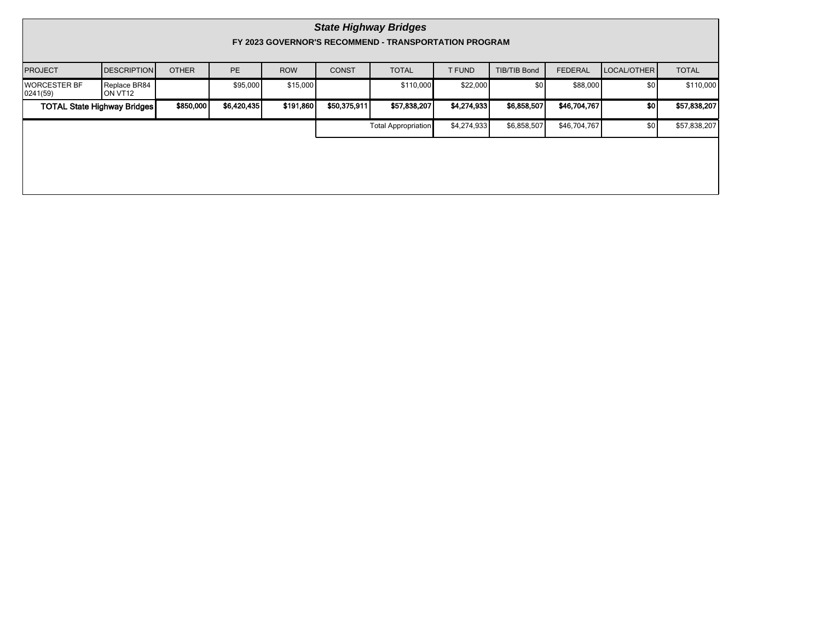|                                    | <b>State Highway Bridges</b><br>FY 2023 GOVERNOR'S RECOMMEND - TRANSPORTATION PROGRAM |              |              |             |              |                            |             |                     |                |             |              |  |  |
|------------------------------------|---------------------------------------------------------------------------------------|--------------|--------------|-------------|--------------|----------------------------|-------------|---------------------|----------------|-------------|--------------|--|--|
| <b>PROJECT</b>                     | <b>DESCRIPTION</b>                                                                    | <b>OTHER</b> | <b>PE</b>    | <b>ROW</b>  | <b>CONST</b> | <b>TOTAL</b>               | T FUND      | <b>TIB/TIB Bond</b> | <b>FEDERAL</b> | LOCAL/OTHER | <b>TOTAL</b> |  |  |
| <b>WORCESTER BF</b><br> 0241(59)   | Replace BR84<br>ION VT12                                                              |              | \$95,000     | \$15,000    |              | \$110,000                  | \$22,000    | \$0                 | \$88,000       | \$0         | \$110,000    |  |  |
| <b>TOTAL State Highway Bridges</b> | \$191,860                                                                             | \$50,375,911 | \$57,838,207 | \$4,274,933 | \$6,858,507  | \$46,704,767               | sol         | \$57,838,207        |                |             |              |  |  |
|                                    |                                                                                       |              |              |             |              | <b>Total Appropriation</b> | \$4,274,933 | \$6,858,507         | \$46,704,767   | \$0         | \$57,838,207 |  |  |
|                                    |                                                                                       |              |              |             |              |                            |             |                     |                |             |              |  |  |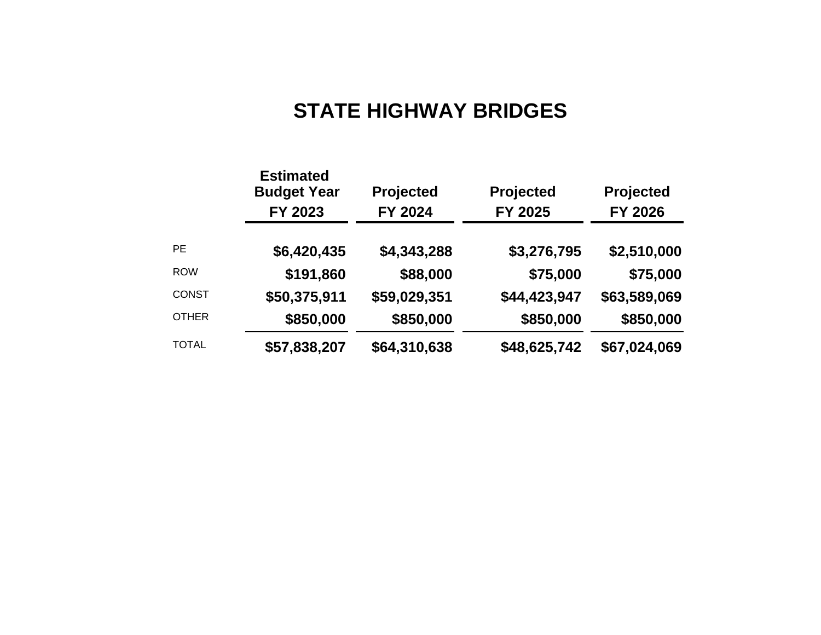# **STATE HIGHWAY BRIDGES**

|              | <b>Estimated</b><br><b>Budget Year</b><br>FY 2023 | Projected<br>FY 2024 | Projected<br>FY 2025 | Projected<br>FY 2026 |  |  |
|--------------|---------------------------------------------------|----------------------|----------------------|----------------------|--|--|
| <b>PE</b>    | \$6,420,435                                       | \$4,343,288          | \$3,276,795          | \$2,510,000          |  |  |
| <b>ROW</b>   | \$191,860                                         | \$88,000             | \$75,000             | \$75,000             |  |  |
| <b>CONST</b> | \$50,375,911                                      | \$59,029,351         | \$44,423,947         | \$63,589,069         |  |  |
| <b>OTHER</b> | \$850,000                                         | \$850,000            | \$850,000            | \$850,000            |  |  |
| <b>TOTAL</b> | \$57,838,207                                      | \$64,310,638         | \$48,625,742         | \$67,024,069         |  |  |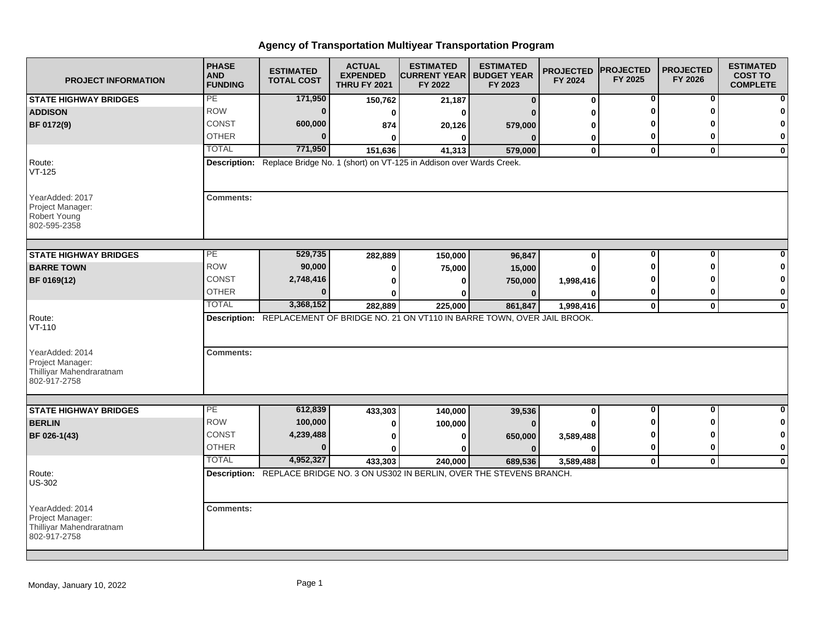| <b>PROJECT INFORMATION</b>                                                      | <b>PHASE</b><br><b>AND</b><br><b>FUNDING</b> | <b>ESTIMATED</b><br><b>TOTAL COST</b>                                              | <b>ACTUAL</b><br><b>EXPENDED</b><br><b>THRU FY 2021</b> | <b>ESTIMATED</b><br><b>CURRENT YEAR   BUDGET YEAR</b><br>FY 2022 | <b>ESTIMATED</b><br>FY 2023 | <b>PROJECTED</b><br>FY 2024 | <b>PROJECTED</b><br>FY 2025 | <b>PROJECTED</b><br>FY 2026 | <b>ESTIMATED</b><br><b>COST TO</b><br><b>COMPLETE</b> |
|---------------------------------------------------------------------------------|----------------------------------------------|------------------------------------------------------------------------------------|---------------------------------------------------------|------------------------------------------------------------------|-----------------------------|-----------------------------|-----------------------------|-----------------------------|-------------------------------------------------------|
| <b>STATE HIGHWAY BRIDGES</b>                                                    | PE                                           | 171,950                                                                            | 150,762                                                 | 21,187                                                           | $\mathbf{0}$                | $\boldsymbol{0}$            | 0                           | 0                           | $\mathbf{0}$                                          |
| <b>ADDISON</b>                                                                  | <b>ROW</b>                                   | $\bf{0}$                                                                           | 0                                                       | O                                                                |                             | 0                           |                             |                             | $\bf{0}$                                              |
| BF 0172(9)                                                                      | CONST                                        | 600,000                                                                            | 874                                                     | 20,126                                                           | 579,000                     | O                           |                             |                             | $\mathbf{0}$                                          |
|                                                                                 | <b>OTHER</b>                                 | $\Omega$                                                                           | $\bf{0}$                                                | $\bf{0}$                                                         | $\mathbf{0}$                | 0                           | 0                           |                             | $\mathbf{0}$                                          |
|                                                                                 | <b>TOTAL</b>                                 | 771,950                                                                            | 151,636                                                 | 41,313                                                           | 579,000                     | $\mathbf 0$                 | $\mathbf{0}$                | $\mathbf{0}$                | $\mathbf{0}$                                          |
| Route:<br>$VT-125$                                                              |                                              | Description: Replace Bridge No. 1 (short) on VT-125 in Addison over Wards Creek.   |                                                         |                                                                  |                             |                             |                             |                             |                                                       |
| YearAdded: 2017<br>Project Manager:<br>Robert Young<br>802-595-2358             | <b>Comments:</b>                             |                                                                                    |                                                         |                                                                  |                             |                             |                             |                             |                                                       |
| <b>STATE HIGHWAY BRIDGES</b>                                                    | PE                                           | 529,735                                                                            | 282,889                                                 | 150,000                                                          | 96,847                      | 0                           | 0                           | $\bf{0}$                    | $\mathbf{0}$                                          |
| <b>BARRE TOWN</b>                                                               | <b>ROW</b>                                   | 90,000                                                                             | 0                                                       | 75,000                                                           | 15,000                      | O                           | ŋ                           |                             | $\mathbf{0}$                                          |
| BF 0169(12)                                                                     | CONST                                        | 2,748,416                                                                          | 0                                                       | 0                                                                | 750,000                     | 1,998,416                   |                             |                             | 0                                                     |
|                                                                                 | <b>OTHER</b>                                 | $\Omega$                                                                           | 0                                                       |                                                                  | $\bf{0}$                    |                             | 0                           |                             | $\mathbf{0}$                                          |
|                                                                                 | <b>TOTAL</b>                                 | 3,368,152                                                                          | 282,889                                                 | 225,000                                                          | 861,847                     | 1,998,416                   | $\mathbf 0$                 | $\bf{0}$                    | $\mathbf{0}$                                          |
| Route:<br>$VT-110$<br>YearAdded: 2014                                           | <b>Comments:</b>                             | Description: REPLACEMENT OF BRIDGE NO. 21 ON VT110 IN BARRE TOWN, OVER JAIL BROOK. |                                                         |                                                                  |                             |                             |                             |                             |                                                       |
| Project Manager:<br>Thilliyar Mahendraratnam<br>802-917-2758                    |                                              |                                                                                    |                                                         |                                                                  |                             |                             |                             |                             |                                                       |
| <b>STATE HIGHWAY BRIDGES</b>                                                    | PE                                           | 612,839                                                                            | 433,303                                                 | 140,000                                                          | 39,536                      | 0                           | $\overline{0}$              | $\bf{0}$                    | $\overline{0}$                                        |
| <b>BERLIN</b>                                                                   | <b>ROW</b>                                   | 100,000                                                                            | 0                                                       | 100,000                                                          | $\bf{0}$                    |                             |                             |                             | $\mathbf{0}$                                          |
| BF 026-1(43)                                                                    | <b>CONST</b>                                 | 4,239,488                                                                          | 0                                                       | 0                                                                | 650,000                     | 3,589,488                   | 0                           |                             | $\mathbf{0}$                                          |
|                                                                                 | <b>OTHER</b>                                 | $\Omega$                                                                           | $\bf{0}$                                                |                                                                  | $\mathbf{0}$                | ŋ                           | 0                           |                             | $\mathbf{0}$                                          |
|                                                                                 | <b>TOTAL</b>                                 | 4,952,327                                                                          | 433,303                                                 | 240.000                                                          | 689,536                     | 3,589,488                   | $\mathbf{0}$                | $\mathbf{0}$                | $\mathbf{0}$                                          |
| Route:<br><b>US-302</b>                                                         |                                              | Description: REPLACE BRIDGE NO. 3 ON US302 IN BERLIN, OVER THE STEVENS BRANCH.     |                                                         |                                                                  |                             |                             |                             |                             |                                                       |
| YearAdded: 2014<br>Project Manager:<br>Thilliyar Mahendraratnam<br>802-917-2758 | <b>Comments:</b>                             |                                                                                    |                                                         |                                                                  |                             |                             |                             |                             |                                                       |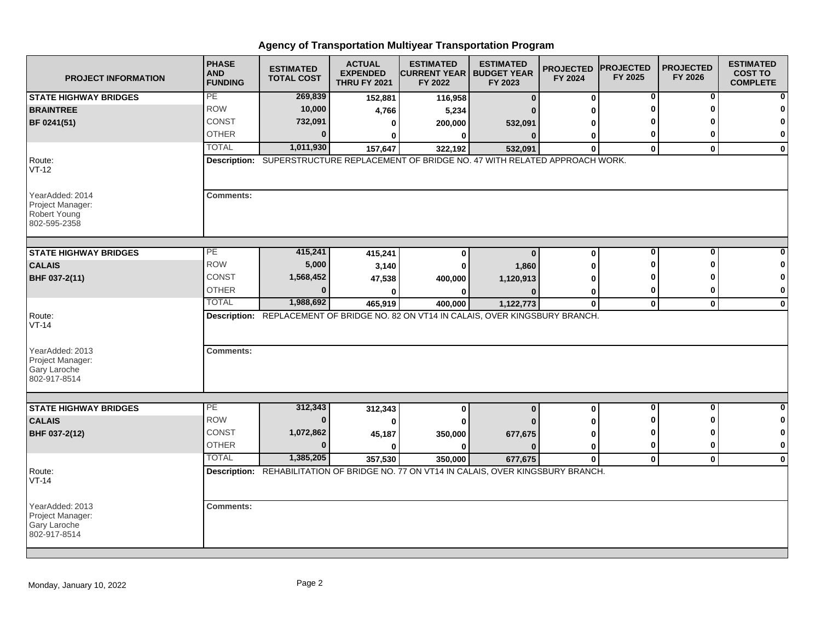| <b>PROJECT INFORMATION</b>                                                 | <b>PHASE</b><br><b>AND</b><br><b>FUNDING</b> | <b>ESTIMATED</b><br><b>TOTAL COST</b> | <b>ACTUAL</b><br><b>EXPENDED</b><br><b>THRU FY 2021</b> | <b>ESTIMATED</b><br><b>CURRENT YEAR I BUDGET YEAR</b><br>FY 2022                                  | <b>ESTIMATED</b><br>FY 2023 | <b>PROJECTED</b><br>FY 2024 | <b>PROJECTED</b><br>FY 2025 | <b>PROJECTED</b><br>FY 2026 | <b>ESTIMATED</b><br><b>COST TO</b><br><b>COMPLETE</b> |
|----------------------------------------------------------------------------|----------------------------------------------|---------------------------------------|---------------------------------------------------------|---------------------------------------------------------------------------------------------------|-----------------------------|-----------------------------|-----------------------------|-----------------------------|-------------------------------------------------------|
| <b>STATE HIGHWAY BRIDGES</b>                                               | PE                                           | 269,839                               | 152,881                                                 | 116,958                                                                                           | $\bf{0}$                    | 0                           | 0                           | 0                           | ŋ                                                     |
| <b>BRAINTREE</b>                                                           | <b>ROW</b>                                   | 10,000                                | 4,766                                                   | 5,234                                                                                             |                             | ŋ                           | O                           | O                           |                                                       |
| BF 0241(51)                                                                | <b>CONST</b>                                 | 732,091                               | 0                                                       | 200,000                                                                                           | 532,091                     | 0                           | n                           |                             | O                                                     |
|                                                                            | <b>OTHER</b>                                 | $\bf{0}$                              | 0                                                       | 0                                                                                                 | $\mathbf{0}$                | 0                           | 0                           | 0                           | 0                                                     |
|                                                                            | <b>TOTAL</b>                                 | 1,011,930                             | 157,647                                                 | 322,192                                                                                           | 532,091                     | $\bf{0}$                    | $\mathbf{0}$                | $\mathbf{0}$                | $\mathbf 0$                                           |
| Route:<br>$VT-12$                                                          |                                              |                                       |                                                         | Description: SUPERSTRUCTURE REPLACEMENT OF BRIDGE NO. 47 WITH RELATED APPROACH WORK.              |                             |                             |                             |                             |                                                       |
| YearAdded: 2014<br>Project Manager:<br><b>Robert Young</b><br>802-595-2358 | <b>Comments:</b>                             |                                       |                                                         |                                                                                                   |                             |                             |                             |                             |                                                       |
| <b>STATE HIGHWAY BRIDGES</b>                                               | PЕ                                           | 415,241                               | 415,241                                                 | $\bf{0}$                                                                                          | $\Omega$                    | $\mathbf{0}$                | $\bf{0}$                    | $\bf{0}$                    |                                                       |
| <b>CALAIS</b>                                                              | <b>ROW</b>                                   | 5,000                                 | 3,140                                                   | 0                                                                                                 | 1,860                       | 0                           | ŋ                           | ŋ                           |                                                       |
| BHF 037-2(11)                                                              | CONST                                        | 1,568,452                             | 47,538                                                  | 400,000                                                                                           | 1,120,913                   | U                           | o                           | n                           | 0                                                     |
|                                                                            | <b>OTHER</b>                                 | $\Omega$                              |                                                         | O                                                                                                 |                             | 0                           | 0                           | 0                           | 0                                                     |
|                                                                            | <b>TOTAL</b>                                 | 1,988,692                             | 465,919                                                 | 400,000                                                                                           | 1,122,773                   | $\mathbf 0$                 | $\mathbf{0}$                | $\mathbf 0$                 | $\mathbf 0$                                           |
| Route:<br>$VT-14$                                                          |                                              |                                       |                                                         | Description: REPLACEMENT OF BRIDGE NO. 82 ON VT14 IN CALAIS, OVER KINGSBURY BRANCH.               |                             |                             |                             |                             |                                                       |
| YearAdded: 2013<br>Project Manager:<br>Gary Laroche<br>802-917-8514        | <b>Comments:</b>                             |                                       |                                                         |                                                                                                   |                             |                             |                             |                             |                                                       |
|                                                                            | PE                                           | 312,343                               |                                                         |                                                                                                   |                             |                             | $\mathbf 0$                 | $\mathbf{0}$                | $\bf{0}$                                              |
| <b>STATE HIGHWAY BRIDGES</b><br><b>CALAIS</b>                              | <b>ROW</b>                                   | $\bf{0}$                              | 312,343                                                 | $\bf{0}$                                                                                          | $\bf{0}$                    | 0                           | O                           | 0                           | 0                                                     |
|                                                                            | CONST                                        | 1,072,862                             | 0                                                       | 0                                                                                                 |                             | 0                           | ŋ                           | ŋ                           | $\bf{0}$                                              |
| BHF 037-2(12)                                                              | <b>OTHER</b>                                 | $\bf{0}$                              | 45,187<br>$\mathbf{0}$                                  | 350,000<br>$\bf{0}$                                                                               | 677,675<br>$\Omega$         | 0                           | 0                           | 0                           | 0                                                     |
|                                                                            | <b>TOTAL</b>                                 | 1,385,205                             | 357,530                                                 |                                                                                                   |                             | 0<br>$\mathbf{0}$           | $\mathbf{0}$                | $\mathbf{0}$                | $\mathbf 0$                                           |
| Route:<br>$VT-14$                                                          |                                              |                                       |                                                         | 350,000<br>Description: REHABILITATION OF BRIDGE NO. 77 ON VT14 IN CALAIS, OVER KINGSBURY BRANCH. | 677,675                     |                             |                             |                             |                                                       |
| YearAdded: 2013<br>Project Manager:<br>Gary Laroche<br>802-917-8514        | <b>Comments:</b>                             |                                       |                                                         |                                                                                                   |                             |                             |                             |                             |                                                       |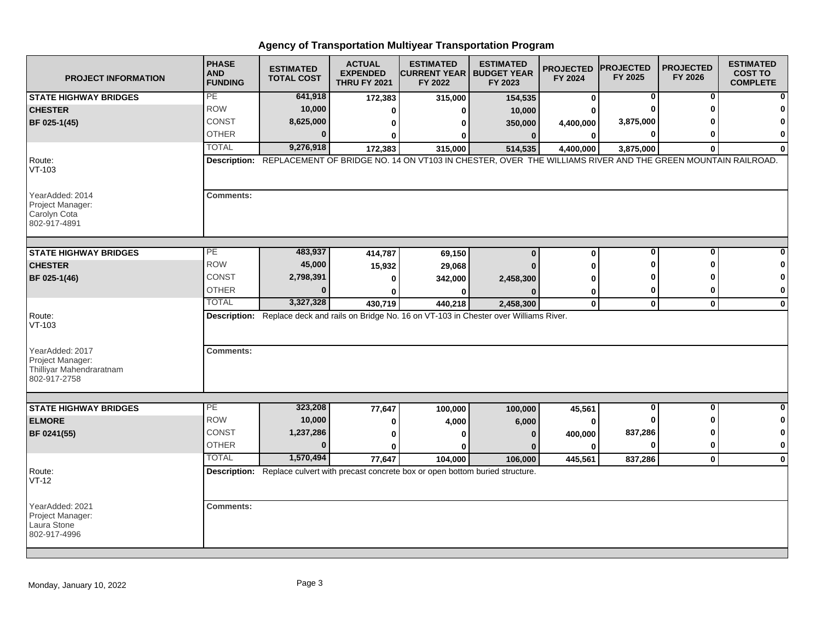| <b>PROJECT INFORMATION</b>                                                      | <b>PHASE</b><br><b>AND</b><br><b>FUNDING</b> | <b>ESTIMATED</b><br><b>TOTAL COST</b> | <b>ACTUAL</b><br><b>EXPENDED</b><br><b>THRU FY 2021</b> | <b>ESTIMATED</b><br><b>CURRENT YEAR   BUDGET YEAR</b><br>FY 2022                                                        | <b>ESTIMATED</b><br>FY 2023 | <b>PROJECTED</b><br>FY 2024 | <b>PROJECTED</b><br>FY 2025 | <b>PROJECTED</b><br>FY 2026 | <b>ESTIMATED</b><br><b>COST TO</b><br><b>COMPLETE</b> |
|---------------------------------------------------------------------------------|----------------------------------------------|---------------------------------------|---------------------------------------------------------|-------------------------------------------------------------------------------------------------------------------------|-----------------------------|-----------------------------|-----------------------------|-----------------------------|-------------------------------------------------------|
| <b>STATE HIGHWAY BRIDGES</b>                                                    | PE                                           | 641,918                               | 172,383                                                 | 315,000                                                                                                                 | 154,535                     | 0                           | 0                           | 0                           |                                                       |
| <b>CHESTER</b>                                                                  | <b>ROW</b>                                   | 10,000                                | 0                                                       | ŋ                                                                                                                       | 10,000                      |                             | $\Omega$                    |                             |                                                       |
| BF 025-1(45)                                                                    | <b>CONST</b>                                 | 8,625,000                             | 0                                                       | 0                                                                                                                       | 350,000                     | 4,400,000                   | 3,875,000                   |                             | O                                                     |
|                                                                                 | <b>OTHER</b>                                 | $\Omega$                              | 0                                                       | 0                                                                                                                       | $\mathbf{0}$                | $\bf{0}$                    | $\mathbf{0}$                | ŋ                           | 0                                                     |
|                                                                                 | <b>TOTAL</b>                                 | 9,276,918                             | 172,383                                                 | 315,000                                                                                                                 | 514,535                     | 4,400,000                   | 3,875,000                   | $\bf{0}$                    | $\bf{0}$                                              |
| Route:<br>$VT-103$                                                              |                                              |                                       |                                                         | Description: REPLACEMENT OF BRIDGE NO. 14 ON VT103 IN CHESTER, OVER THE WILLIAMS RIVER AND THE GREEN MOUNTAIN RAILROAD. |                             |                             |                             |                             |                                                       |
| YearAdded: 2014<br>Project Manager:<br>Carolyn Cota<br>802-917-4891             | <b>Comments:</b>                             |                                       |                                                         |                                                                                                                         |                             |                             |                             |                             |                                                       |
| <b>STATE HIGHWAY BRIDGES</b>                                                    | PE                                           | 483,937                               | 414,787                                                 | 69,150                                                                                                                  | $\bf{0}$                    | $\mathbf 0$                 | 0                           | $\bf{0}$                    |                                                       |
| <b>CHESTER</b>                                                                  | <b>ROW</b>                                   | 45,000                                | 15,932                                                  | 29,068                                                                                                                  |                             | O                           | ŋ                           | ŋ                           |                                                       |
| BF 025-1(46)                                                                    | <b>CONST</b>                                 | 2,798,391                             | $\bf{0}$                                                | 342,000                                                                                                                 | 2,458,300                   | O                           |                             |                             | $\mathbf 0$                                           |
|                                                                                 | <b>OTHER</b>                                 | $\mathbf{0}$                          |                                                         |                                                                                                                         |                             | 0                           | 0                           | 0                           | 0                                                     |
|                                                                                 | <b>TOTAL</b>                                 | 3,327,328                             | 430,719                                                 | 440,218                                                                                                                 | 2,458,300                   | $\mathbf 0$                 | $\mathbf 0$                 | $\mathbf 0$                 | $\mathbf 0$                                           |
| Route:<br>$VT-103$                                                              |                                              |                                       |                                                         | Description: Replace deck and rails on Bridge No. 16 on VT-103 in Chester over Williams River.                          |                             |                             |                             |                             |                                                       |
| YearAdded: 2017<br>Project Manager:<br>Thilliyar Mahendraratnam<br>802-917-2758 | <b>Comments:</b>                             |                                       |                                                         |                                                                                                                         |                             |                             |                             |                             |                                                       |
|                                                                                 | PE                                           | 323,208                               |                                                         |                                                                                                                         |                             |                             | $\overline{\mathbf{0}}$     | $\overline{\mathbf{0}}$     | $\bf{0}$                                              |
| <b>STATE HIGHWAY BRIDGES</b><br><b>ELMORE</b>                                   | <b>ROW</b>                                   | 10,000                                | 77,647                                                  | 100,000                                                                                                                 | 100,000                     | 45,561                      | ŋ                           | ŋ                           | 0                                                     |
| BF 0241(55)                                                                     | <b>CONST</b>                                 | 1,237,286                             | 0                                                       | 4,000                                                                                                                   | 6,000                       | $\bf{0}$                    | 837,286                     | O                           | 0                                                     |
|                                                                                 | <b>OTHER</b>                                 | $\bf{0}$                              | 0<br>$\bf{0}$                                           | U<br>U                                                                                                                  | n                           | 400,000<br>O                | $\bf{0}$                    | 0                           | $\bf{0}$                                              |
|                                                                                 | <b>TOTAL</b>                                 | 1,570,494                             |                                                         | 104,000                                                                                                                 |                             |                             |                             | $\mathbf 0$                 |                                                       |
| Route:                                                                          |                                              |                                       | 77,647                                                  | Description: Replace culvert with precast concrete box or open bottom buried structure.                                 | 106,000                     | 445,561                     | 837,286                     |                             | $\mathbf{0}$                                          |
| $VT-12$                                                                         |                                              |                                       |                                                         |                                                                                                                         |                             |                             |                             |                             |                                                       |
| YearAdded: 2021<br>Project Manager:<br>Laura Stone<br>802-917-4996              | <b>Comments:</b>                             |                                       |                                                         |                                                                                                                         |                             |                             |                             |                             |                                                       |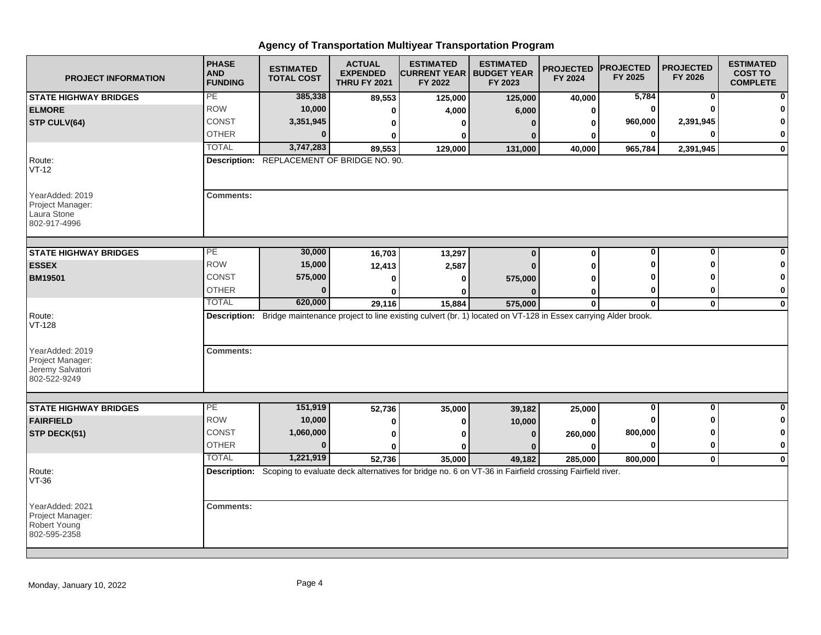| <b>PROJECT INFORMATION</b>                                              | <b>PHASE</b><br><b>AND</b><br><b>FUNDING</b> | <b>ESTIMATED</b><br><b>TOTAL COST</b>      | <b>ACTUAL</b><br><b>EXPENDED</b><br><b>THRU FY 2021</b> | <b>ESTIMATED</b><br><b>CURRENT YEAR   BUDGET YEAR</b><br>FY 2022                                                          | <b>ESTIMATED</b><br>FY 2023 | <b>PROJECTED</b><br>FY 2024 | <b>PROJECTED</b><br>FY 2025 | <b>PROJECTED</b><br>FY 2026 | <b>ESTIMATED</b><br><b>COST TO</b><br><b>COMPLETE</b> |
|-------------------------------------------------------------------------|----------------------------------------------|--------------------------------------------|---------------------------------------------------------|---------------------------------------------------------------------------------------------------------------------------|-----------------------------|-----------------------------|-----------------------------|-----------------------------|-------------------------------------------------------|
| <b>STATE HIGHWAY BRIDGES</b>                                            | PE                                           | 385,338                                    | 89,553                                                  | 125,000                                                                                                                   | 125,000                     | 40,000                      | 5,784                       | $\mathbf 0$                 | ŋ                                                     |
| <b>ELMORE</b>                                                           | <b>ROW</b>                                   | 10,000                                     | $\Omega$                                                | 4,000                                                                                                                     | 6,000                       | 0                           | $\bf{0}$                    | <sup>0</sup>                |                                                       |
| STP CULV(64)                                                            | <b>CONST</b>                                 | 3,351,945                                  | 0                                                       | ŋ                                                                                                                         | n                           | 0                           | 960,000                     | 2,391,945                   | $\Omega$                                              |
|                                                                         | <b>OTHER</b>                                 | $\Omega$                                   | 0                                                       | 0                                                                                                                         |                             | 0                           | 0                           | ŋ                           | $\mathbf 0$                                           |
|                                                                         | <b>TOTAL</b>                                 | 3,747,283                                  | 89,553                                                  | 129,000                                                                                                                   | 131,000                     | 40,000                      | 965,784                     | 2,391,945                   | $\mathbf 0$                                           |
| Route:<br>$VT-12$                                                       |                                              | Description: REPLACEMENT OF BRIDGE NO. 90. |                                                         |                                                                                                                           |                             |                             |                             |                             |                                                       |
| YearAdded: 2019<br>Project Manager:<br>Laura Stone<br>802-917-4996      | <b>Comments:</b>                             |                                            |                                                         |                                                                                                                           |                             |                             |                             |                             |                                                       |
| <b>STATE HIGHWAY BRIDGES</b>                                            | PЕ                                           | 30,000                                     | 16,703                                                  | 13,297                                                                                                                    | $\bf{0}$                    | 0                           | $\bf{0}$                    | $\bf{0}$                    |                                                       |
| <b>ESSEX</b>                                                            | <b>ROW</b>                                   | 15,000                                     | 12,413                                                  | 2,587                                                                                                                     |                             | 0                           | ŋ                           | ŋ                           | O                                                     |
| <b>BM19501</b>                                                          | <b>CONST</b>                                 | 575,000                                    | 0                                                       | 0                                                                                                                         | 575,000                     | ŋ                           |                             |                             | 0                                                     |
|                                                                         | <b>OTHER</b>                                 | $\bf{0}$                                   | 0                                                       | ŋ                                                                                                                         |                             | 0                           | 0                           | 0                           | 0                                                     |
|                                                                         | <b>TOTAL</b>                                 | 620,000                                    | 29,116                                                  | 15,884                                                                                                                    | 575,000                     | 0                           | $\mathbf{0}$                | $\mathbf{0}$                | $\mathbf 0$                                           |
| Route:<br><b>VT-128</b>                                                 |                                              |                                            |                                                         | Description: Bridge maintenance project to line existing culvert (br. 1) located on VT-128 in Essex carrying Alder brook. |                             |                             |                             |                             |                                                       |
| YearAdded: 2019<br>Project Manager:<br>Jeremy Salvatori<br>802-522-9249 | <b>Comments:</b>                             |                                            |                                                         |                                                                                                                           |                             |                             |                             |                             |                                                       |
| <b>STATE HIGHWAY BRIDGES</b>                                            | РE                                           | 151,919                                    | 52,736                                                  | 35,000                                                                                                                    | 39,182                      | 25,000                      | 0                           | 0                           | 0                                                     |
| <b>FAIRFIELD</b>                                                        | <b>ROW</b>                                   | 10,000                                     | 0                                                       | 0                                                                                                                         | 10,000                      | $\bf{0}$                    | ŋ                           | O                           | 0                                                     |
| STP DECK(51)                                                            | CONST                                        | 1,060,000                                  | 0                                                       | ŋ                                                                                                                         | $\Omega$                    | 260,000                     | 800,000                     | ŋ                           | 0                                                     |
|                                                                         | <b>OTHER</b>                                 | $\Omega$                                   | $\bf{0}$                                                | ŋ                                                                                                                         |                             | 0                           | $\bf{0}$                    | $\bf{0}$                    | $\bf{0}$                                              |
|                                                                         | <b>TOTAL</b>                                 | 1,221,919                                  | 52,736                                                  | 35,000                                                                                                                    | 49,182                      | 285,000                     | 800,000                     | $\mathbf 0$                 | $\mathbf 0$                                           |
| Route:<br>$VT-36$                                                       |                                              |                                            |                                                         | Description: Scoping to evaluate deck alternatives for bridge no. 6 on VT-36 in Fairfield crossing Fairfield river.       |                             |                             |                             |                             |                                                       |
| YearAdded: 2021<br>Project Manager:<br>Robert Young<br>802-595-2358     | <b>Comments:</b>                             |                                            |                                                         |                                                                                                                           |                             |                             |                             |                             |                                                       |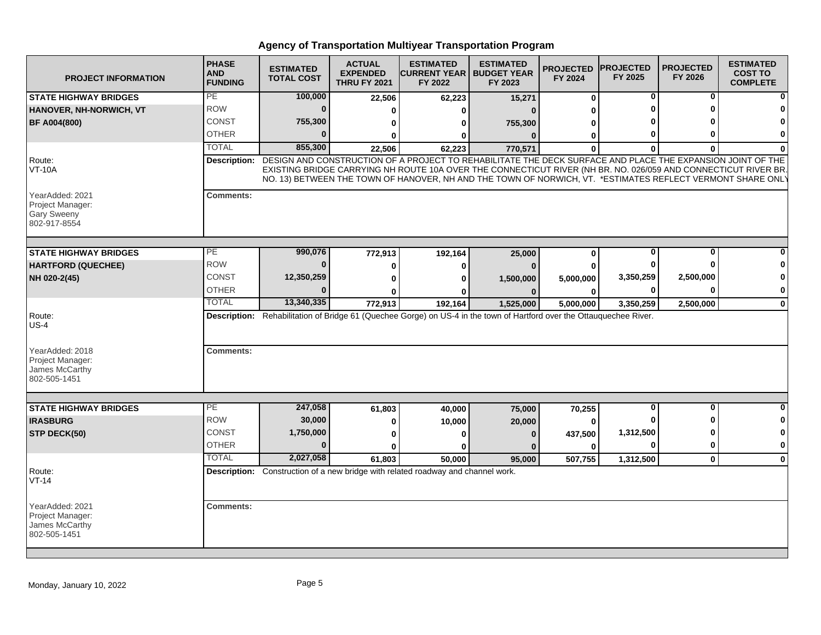| <b>PROJECT INFORMATION</b>                                                | <b>PHASE</b><br><b>AND</b><br><b>FUNDING</b> | <b>ESTIMATED</b><br><b>TOTAL COST</b> | <b>ACTUAL</b><br><b>EXPENDED</b><br><b>THRU FY 2021</b> | <b>ESTIMATED</b><br><b>ICURRENT YEAR I BUDGET YEAR</b><br>FY 2022                                                                                                                                                                                                                                                                          | <b>ESTIMATED</b><br>FY 2023 | <b>PROJECTED</b><br>FY 2024 | <b>IPROJECTED</b><br>FY 2025 | <b>PROJECTED</b><br>FY 2026 | <b>ESTIMATED</b><br><b>COST TO</b><br><b>COMPLETE</b> |
|---------------------------------------------------------------------------|----------------------------------------------|---------------------------------------|---------------------------------------------------------|--------------------------------------------------------------------------------------------------------------------------------------------------------------------------------------------------------------------------------------------------------------------------------------------------------------------------------------------|-----------------------------|-----------------------------|------------------------------|-----------------------------|-------------------------------------------------------|
| <b>STATE HIGHWAY BRIDGES</b>                                              | PE                                           | 100,000                               | 22,506                                                  | 62,223                                                                                                                                                                                                                                                                                                                                     | 15,271                      | $\bf{0}$                    | 0                            | 0                           |                                                       |
| HANOVER, NH-NORWICH, VT                                                   | <b>ROW</b>                                   | $\bf{0}$                              | 0                                                       | 0                                                                                                                                                                                                                                                                                                                                          | $\Omega$                    | U                           | ŋ                            | ŋ                           |                                                       |
| <b>BF A004(800)</b>                                                       | CONST                                        | 755,300                               | 0                                                       | 0                                                                                                                                                                                                                                                                                                                                          | 755,300                     | ŋ                           |                              |                             |                                                       |
|                                                                           | <b>OTHER</b>                                 | $\Omega$                              | 0                                                       | 0                                                                                                                                                                                                                                                                                                                                          | $\Omega$                    | 0                           | o                            | ŋ                           | O                                                     |
|                                                                           | <b>TOTAL</b>                                 | 855,300                               | 22,506                                                  | 62,223                                                                                                                                                                                                                                                                                                                                     | 770,571                     | $\Omega$                    | $\bf{0}$                     | $\Omega$                    |                                                       |
| Route:<br><b>VT-10A</b>                                                   | <b>Description:</b>                          |                                       |                                                         | DESIGN AND CONSTRUCTION OF A PROJECT TO REHABILITATE THE DECK SURFACE AND PLACE THE EXPANSION JOINT OF THE<br>EXISTING BRIDGE CARRYING NH ROUTE 10A OVER THE CONNECTICUT RIVER (NH BR. NO. 026/059 AND CONNECTICUT RIVER BR.<br>NO. 13) BETWEEN THE TOWN OF HANOVER, NH AND THE TOWN OF NORWICH, VT. *ESTIMATES REFLECT VERMONT SHARE ONLY |                             |                             |                              |                             |                                                       |
| YearAdded: 2021<br>Project Manager:<br><b>Gary Sweeny</b><br>802-917-8554 | <b>Comments:</b>                             |                                       |                                                         |                                                                                                                                                                                                                                                                                                                                            |                             |                             |                              |                             |                                                       |
| <b>STATE HIGHWAY BRIDGES</b>                                              | PЕ                                           | 990,076                               | 772,913                                                 | 192,164                                                                                                                                                                                                                                                                                                                                    | 25,000                      | 0                           | 0                            | 0                           |                                                       |
| <b>HARTFORD (QUECHEE)</b>                                                 | <b>ROW</b>                                   | $\bf{0}$                              | $\mathbf 0$                                             | 0                                                                                                                                                                                                                                                                                                                                          | n                           | U                           |                              | ŋ                           |                                                       |
| NH 020-2(45)                                                              | CONST                                        | 12,350,259                            | $\bf{0}$                                                | 0                                                                                                                                                                                                                                                                                                                                          | 1,500,000                   | 5,000,000                   | 3,350,259                    | 2,500,000                   |                                                       |
|                                                                           | <b>OTHER</b>                                 |                                       | U                                                       | ŋ                                                                                                                                                                                                                                                                                                                                          | 0                           | 0                           | 0                            | $\bf{0}$                    | 0                                                     |
|                                                                           | <b>TOTAL</b>                                 | 13,340,335                            | 772,913                                                 | 192,164                                                                                                                                                                                                                                                                                                                                    | 1,525,000                   | 5,000,000                   | 3,350,259                    | 2,500,000                   | $\mathbf 0$                                           |
| Route:<br>$US-4$                                                          |                                              |                                       |                                                         | Description: Rehabilitation of Bridge 61 (Quechee Gorge) on US-4 in the town of Hartford over the Ottauquechee River.                                                                                                                                                                                                                      |                             |                             |                              |                             |                                                       |
| YearAdded: 2018<br>Project Manager:<br>James McCarthy<br>802-505-1451     | <b>Comments:</b>                             |                                       |                                                         |                                                                                                                                                                                                                                                                                                                                            |                             |                             |                              |                             |                                                       |
| <b>STATE HIGHWAY BRIDGES</b>                                              | $\overline{PE}$                              | 247,058                               | 61,803                                                  | 40,000                                                                                                                                                                                                                                                                                                                                     | 75,000                      | 70,255                      | 0                            | 0                           |                                                       |
| <b>IRASBURG</b>                                                           | <b>ROW</b>                                   | 30,000                                | 0                                                       | 10,000                                                                                                                                                                                                                                                                                                                                     | 20,000                      | $\bf{0}$                    |                              | ∩                           | 0                                                     |
| STP DECK(50)                                                              | CONST                                        | 1,750,000                             | 0                                                       | O                                                                                                                                                                                                                                                                                                                                          | $\mathbf{0}$                | 437,500                     | 1,312,500                    | ŋ                           | 0                                                     |
|                                                                           | <b>OTHER</b>                                 | $\Omega$                              | $\bf{0}$                                                | ŋ                                                                                                                                                                                                                                                                                                                                          | n                           | $\bf{0}$                    | $\bf{0}$                     | $\bf{0}$                    | $\mathbf 0$                                           |
|                                                                           | <b>TOTAL</b>                                 | 2,027,058                             | 61,803                                                  | 50,000                                                                                                                                                                                                                                                                                                                                     | 95,000                      | 507,755                     | 1,312,500                    | $\mathbf{0}$                | $\mathbf{0}$                                          |
| Route:<br>$VT-14$                                                         |                                              |                                       |                                                         | Description: Construction of a new bridge with related roadway and channel work.                                                                                                                                                                                                                                                           |                             |                             |                              |                             |                                                       |
| YearAdded: 2021<br>Project Manager:<br>James McCarthy<br>802-505-1451     | <b>Comments:</b>                             |                                       |                                                         |                                                                                                                                                                                                                                                                                                                                            |                             |                             |                              |                             |                                                       |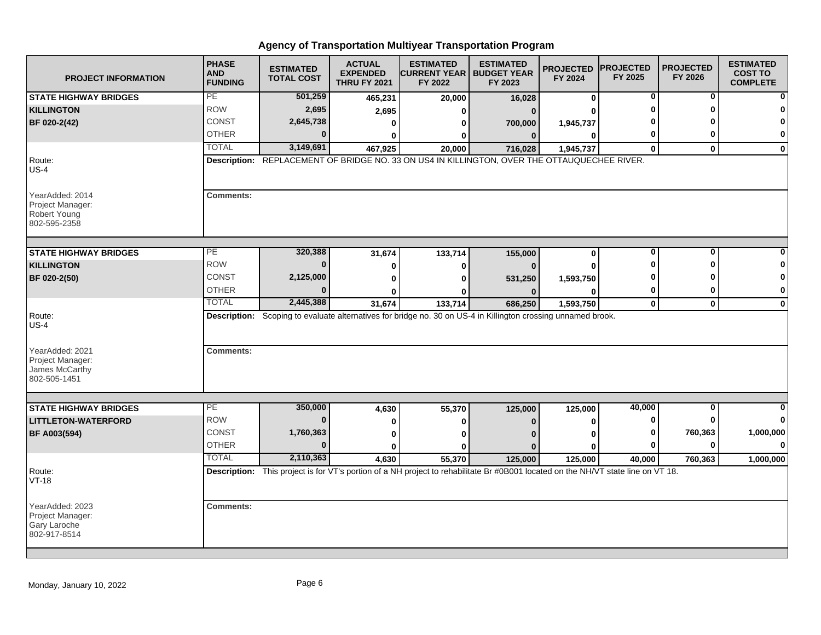| <b>PROJECT INFORMATION</b>                                            | <b>PHASE</b><br><b>AND</b><br><b>FUNDING</b> | <b>ESTIMATED</b><br><b>TOTAL COST</b> | <b>ACTUAL</b><br><b>EXPENDED</b><br><b>THRU FY 2021</b> | <b>ESTIMATED</b><br><b>CURRENT YEAR   BUDGET YEAR</b><br>FY 2022                                                                  | <b>ESTIMATED</b><br>FY 2023 | <b>PROJECTED</b><br>FY 2024 | <b>PROJECTED</b><br>FY 2025 | <b>PROJECTED</b><br>FY 2026 | <b>ESTIMATED</b><br><b>COST TO</b><br><b>COMPLETE</b> |
|-----------------------------------------------------------------------|----------------------------------------------|---------------------------------------|---------------------------------------------------------|-----------------------------------------------------------------------------------------------------------------------------------|-----------------------------|-----------------------------|-----------------------------|-----------------------------|-------------------------------------------------------|
| <b>STATE HIGHWAY BRIDGES</b>                                          | PE                                           | 501,259                               | 465,231                                                 | 20,000                                                                                                                            | 16,028                      | $\bf{0}$                    | 0                           | 0                           |                                                       |
| <b>KILLINGTON</b>                                                     | <b>ROW</b>                                   | 2,695                                 | 2,695                                                   | ŋ                                                                                                                                 | $\Omega$                    | U                           | O                           | ŋ                           |                                                       |
| BF 020-2(42)                                                          | CONST                                        | 2,645,738                             | 0                                                       | 0                                                                                                                                 | 700,000                     | 1,945,737                   |                             |                             |                                                       |
|                                                                       | <b>OTHER</b>                                 | $\Omega$                              | $\mathbf{0}$                                            | 0                                                                                                                                 | $\mathbf{0}$                | $\bf{0}$                    | 0                           | ŋ                           | 0                                                     |
|                                                                       | <b>TOTAL</b>                                 | 3,149,691                             | 467,925                                                 | 20,000                                                                                                                            | 716,028                     | 1,945,737                   | $\mathbf{0}$                | $\mathbf{0}$                | $\mathbf{0}$                                          |
| Route:<br>$US-4$                                                      |                                              |                                       |                                                         | Description: REPLACEMENT OF BRIDGE NO. 33 ON US4 IN KILLINGTON, OVER THE OTTAUQUECHEE RIVER.                                      |                             |                             |                             |                             |                                                       |
| YearAdded: 2014<br>Project Manager:<br>Robert Young<br>802-595-2358   | <b>Comments:</b>                             |                                       |                                                         |                                                                                                                                   |                             |                             |                             |                             |                                                       |
| <b>STATE HIGHWAY BRIDGES</b>                                          | PE                                           | 320,388                               | 31,674                                                  | 133,714                                                                                                                           | 155,000                     | $\mathbf 0$                 | $\bf{0}$                    | $\mathbf{0}$                |                                                       |
| <b>KILLINGTON</b>                                                     | <b>ROW</b>                                   | $\bf{0}$                              | $\bf{0}$                                                | $\bf{0}$                                                                                                                          |                             | U                           | O                           | ŋ                           |                                                       |
| BF 020-2(50)                                                          | <b>CONST</b>                                 | 2,125,000                             | $\bf{0}$                                                | ŋ                                                                                                                                 |                             | 1,593,750                   |                             |                             | O                                                     |
|                                                                       | <b>OTHER</b>                                 | $\bf{0}$                              | 0                                                       | n                                                                                                                                 | 531,250                     | 0                           | 0                           | 0                           | $\mathbf 0$                                           |
|                                                                       | <b>TOTAL</b>                                 | 2,445,388                             | 31,674                                                  | 133,714                                                                                                                           | 686,250                     | 1,593,750                   | $\mathbf{0}$                | $\mathbf 0$                 | $\mathbf 0$                                           |
| Route:<br>$US-4$                                                      |                                              |                                       |                                                         | Description: Scoping to evaluate alternatives for bridge no. 30 on US-4 in Killington crossing unnamed brook.                     |                             |                             |                             |                             |                                                       |
| YearAdded: 2021<br>Project Manager:<br>James McCarthy<br>802-505-1451 | <b>Comments:</b>                             |                                       |                                                         |                                                                                                                                   |                             |                             |                             |                             |                                                       |
| <b>STATE HIGHWAY BRIDGES</b>                                          | $\overline{PE}$                              | 350,000                               | 4,630                                                   | 55,370                                                                                                                            | 125,000                     | 125,000                     | 40,000                      | 0                           |                                                       |
| <b>LITTLETON-WATERFORD</b>                                            | <b>ROW</b>                                   | $\bf{0}$                              | 0                                                       | 0                                                                                                                                 | n                           | 0                           | 0                           | 0                           | 0                                                     |
| BF A003(594)                                                          | <b>CONST</b>                                 | 1,760,363                             |                                                         | U                                                                                                                                 |                             | ŋ                           | 0                           | 760,363                     | 1,000,000                                             |
|                                                                       | <b>OTHER</b>                                 | $\Omega$                              | 0<br>$\bf{0}$                                           | U                                                                                                                                 |                             | O                           | $\bf{0}$                    | $\bf{0}$                    | $\bf{0}$                                              |
|                                                                       | <b>TOTAL</b>                                 | 2,110,363                             | 4,630                                                   | 55,370                                                                                                                            | 125,000                     | 125,000                     | 40,000                      | 760,363                     | 1,000,000                                             |
| Route:<br>VT-18                                                       |                                              |                                       |                                                         | Description: This project is for VT's portion of a NH project to rehabilitate Br #0B001 located on the NH/VT state line on VT 18. |                             |                             |                             |                             |                                                       |
| YearAdded: 2023<br>Project Manager:<br>Gary Laroche<br>802-917-8514   | <b>Comments:</b>                             |                                       |                                                         |                                                                                                                                   |                             |                             |                             |                             |                                                       |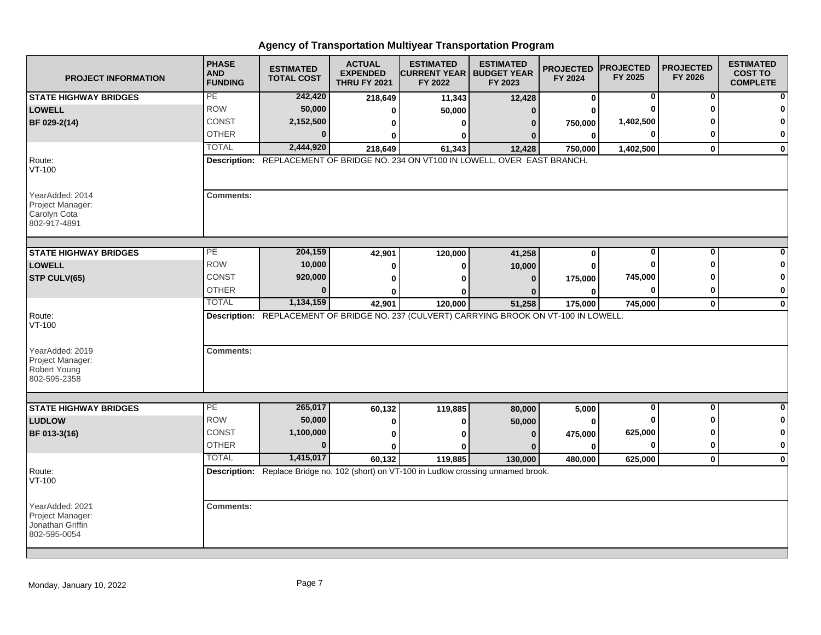| <b>PROJECT INFORMATION</b>                                              | <b>PHASE</b><br><b>AND</b><br><b>FUNDING</b> | <b>ESTIMATED</b><br><b>TOTAL COST</b> | <b>ACTUAL</b><br><b>EXPENDED</b><br><b>THRU FY 2021</b> | <b>ESTIMATED</b><br><b>CURRENT YEAR   BUDGET YEAR</b><br>FY 2022                         | <b>ESTIMATED</b><br>FY 2023 | <b>PROJECTED</b><br>FY 2024 | <b>PROJECTED</b><br>FY 2025 | <b>PROJECTED</b><br>FY 2026 | <b>ESTIMATED</b><br><b>COST TO</b><br><b>COMPLETE</b> |
|-------------------------------------------------------------------------|----------------------------------------------|---------------------------------------|---------------------------------------------------------|------------------------------------------------------------------------------------------|-----------------------------|-----------------------------|-----------------------------|-----------------------------|-------------------------------------------------------|
| <b>STATE HIGHWAY BRIDGES</b>                                            | PE                                           | 242,420                               | 218,649                                                 | 11,343                                                                                   | 12,428                      | 0                           | 0                           | 0                           | 0                                                     |
| <b>LOWELL</b>                                                           | <b>ROW</b>                                   | 50,000                                | 0                                                       | 50,000                                                                                   | $\mathbf{0}$                | U                           | O                           | O                           | 0                                                     |
| BF 029-2(14)                                                            | <b>CONST</b>                                 | 2,152,500                             | 0                                                       | 0                                                                                        | $\bf{0}$                    | 750,000                     | 1,402,500                   |                             | 0                                                     |
|                                                                         | <b>OTHER</b>                                 | $\bf{0}$                              | ŋ                                                       | 0                                                                                        |                             | 0                           | 0                           | 0                           | 0                                                     |
|                                                                         | <b>TOTAL</b>                                 | 2,444,920                             | 218,649                                                 | 61,343                                                                                   | 12,428                      | 750,000                     | 1,402,500                   | $\mathbf{0}$                | $\mathbf{0}$                                          |
| Route:<br>VT-100                                                        |                                              |                                       |                                                         | Description: REPLACEMENT OF BRIDGE NO. 234 ON VT100 IN LOWELL, OVER EAST BRANCH.         |                             |                             |                             |                             |                                                       |
| YearAdded: 2014<br>Project Manager:<br>Carolyn Cota<br>802-917-4891     | <b>Comments:</b>                             |                                       |                                                         |                                                                                          |                             |                             |                             |                             |                                                       |
| <b>STATE HIGHWAY BRIDGES</b>                                            | PЕ                                           | 204,159                               | 42,901                                                  | 120,000                                                                                  | 41,258                      | 0                           | $\bf{0}$                    | $\bf{0}$                    |                                                       |
| <b>LOWELL</b>                                                           | <b>ROW</b>                                   | 10,000                                | $\mathbf 0$                                             | 0                                                                                        | 10,000                      | 0                           | O                           | ŋ                           |                                                       |
| STP CULV(65)                                                            | CONST                                        | 920,000                               | O                                                       | ŋ                                                                                        | $\mathbf{0}$                | 175,000                     | 745,000                     |                             | 0                                                     |
|                                                                         | <b>OTHER</b>                                 | $\Omega$                              | 0                                                       | n                                                                                        |                             | 0                           | $\bf{0}$                    | 0                           | 0                                                     |
|                                                                         | <b>TOTAL</b>                                 | 1,134,159                             | 42,901                                                  | 120,000                                                                                  | 51,258                      | 175,000                     | 745,000                     | $\mathbf 0$                 | $\mathbf 0$                                           |
| Route:<br>VT-100                                                        |                                              |                                       |                                                         | Description: REPLACEMENT OF BRIDGE NO. 237 (CULVERT) CARRYING BROOK ON VT-100 IN LOWELL. |                             |                             |                             |                             |                                                       |
| YearAdded: 2019<br>Project Manager:<br>Robert Young<br>802-595-2358     | <b>Comments:</b>                             |                                       |                                                         |                                                                                          |                             |                             |                             |                             |                                                       |
| <b>STATE HIGHWAY BRIDGES</b>                                            | PE                                           | 265,017                               |                                                         |                                                                                          |                             | 5,000                       | $\bf{0}$                    | $\mathbf{0}$                | $\bf{0}$                                              |
| <b>LUDLOW</b>                                                           | <b>ROW</b>                                   | 50,000                                | 60,132                                                  | 119,885                                                                                  | 80,000<br>50,000            | 0                           | O                           | ŋ                           | 0                                                     |
| BF 013-3(16)                                                            | CONST                                        | 1,100,000                             | 0                                                       | 0                                                                                        |                             |                             | 625,000                     | ŋ                           | $\mathbf 0$                                           |
|                                                                         | <b>OTHER</b>                                 | $\Omega$                              | 0<br>$\bf{0}$                                           | 0<br>ŋ                                                                                   | $\bf{0}$<br>$\Omega$        | 475,000<br>0                | $\Omega$                    | $\bf{0}$                    | $\bf{0}$                                              |
|                                                                         | <b>TOTAL</b>                                 | 1,415,017                             | 60,132                                                  | 119,885                                                                                  | 130,000                     |                             | 625,000                     | $\mathbf{0}$                | $\mathbf 0$                                           |
| Route:<br>VT-100                                                        |                                              |                                       |                                                         | Description: Replace Bridge no. 102 (short) on VT-100 in Ludlow crossing unnamed brook.  |                             | 480,000                     |                             |                             |                                                       |
| YearAdded: 2021<br>Project Manager:<br>Jonathan Griffin<br>802-595-0054 | <b>Comments:</b>                             |                                       |                                                         |                                                                                          |                             |                             |                             |                             |                                                       |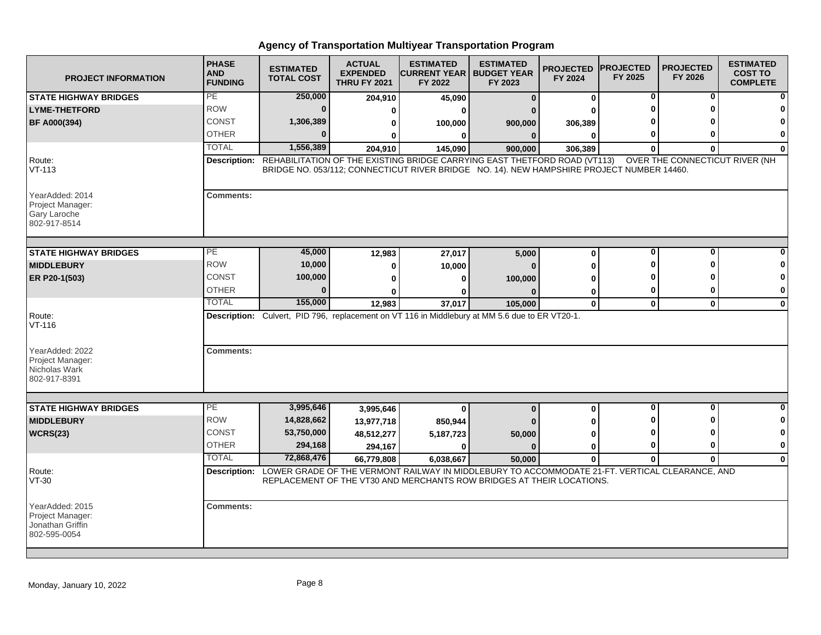| <b>PROJECT INFORMATION</b>                                              | <b>PHASE</b><br><b>AND</b><br><b>FUNDING</b> | <b>ESTIMATED</b><br><b>TOTAL COST</b> | <b>ACTUAL</b><br><b>EXPENDED</b><br><b>THRU FY 2021</b> | <b>ESTIMATED</b><br><b>ICURRENT YEAR I BUDGET YEAR</b><br>FY 2022                                                                                                      | <b>ESTIMATED</b><br>FY 2023 | <b>PROJECTED</b><br>FY 2024 | <b>PROJECTED</b><br>FY 2025 | <b>PROJECTED</b><br>FY 2026    | <b>ESTIMATED</b><br><b>COST TO</b><br><b>COMPLETE</b> |
|-------------------------------------------------------------------------|----------------------------------------------|---------------------------------------|---------------------------------------------------------|------------------------------------------------------------------------------------------------------------------------------------------------------------------------|-----------------------------|-----------------------------|-----------------------------|--------------------------------|-------------------------------------------------------|
| <b>STATE HIGHWAY BRIDGES</b>                                            | PE                                           | 250,000                               | 204,910                                                 | 45,090                                                                                                                                                                 | $\mathbf{0}$                | 0                           | 0                           | 0                              |                                                       |
| <b>LYME-THETFORD</b>                                                    | <b>ROW</b>                                   | $\bf{0}$                              | 0                                                       | ŋ                                                                                                                                                                      |                             |                             |                             |                                |                                                       |
| <b>BF A000(394)</b>                                                     | <b>CONST</b>                                 | 1,306,389                             | 0                                                       | 100,000                                                                                                                                                                | 900,000                     | 306,389                     |                             |                                |                                                       |
|                                                                         | <b>OTHER</b>                                 | $\Omega$                              |                                                         | 0                                                                                                                                                                      | $\mathbf{0}$                | $\bf{0}$                    | 0                           | ŋ                              | 0                                                     |
|                                                                         | <b>TOTAL</b>                                 | 1,556,389                             | 204,910                                                 | 145,090                                                                                                                                                                | 900,000                     | 306,389                     | $\bf{0}$                    | $\bf{0}$                       | $\bf{0}$                                              |
| Route:<br>$VT-113$                                                      | Description:                                 |                                       |                                                         | REHABILITATION OF THE EXISTING BRIDGE CARRYING EAST THETFORD ROAD (VT113)<br>BRIDGE NO. 053/112; CONNECTICUT RIVER BRIDGE NO. 14). NEW HAMPSHIRE PROJECT NUMBER 14460. |                             |                             |                             | OVER THE CONNECTICUT RIVER (NH |                                                       |
| YearAdded: 2014<br>Project Manager:<br>Gary Laroche<br>802-917-8514     | <b>Comments:</b>                             |                                       |                                                         |                                                                                                                                                                        |                             |                             |                             |                                |                                                       |
| <b>STATE HIGHWAY BRIDGES</b>                                            | PЕ                                           | 45,000                                | 12,983                                                  | 27,017                                                                                                                                                                 | 5,000                       | $\bf{0}$                    | $\bf{0}$                    | $\bf{0}$                       |                                                       |
| <b>MIDDLEBURY</b>                                                       | <b>ROW</b>                                   | 10,000                                | 0                                                       | 10,000                                                                                                                                                                 |                             | 0                           | ŋ                           | ŋ                              |                                                       |
| ER P20-1(503)                                                           | CONST                                        | 100,000                               | 0                                                       | 0                                                                                                                                                                      | 100,000                     | ŋ                           |                             |                                | n                                                     |
|                                                                         | <b>OTHER</b>                                 | $\bf{0}$                              | U                                                       | n                                                                                                                                                                      |                             | 0                           | 0                           | 0                              | 0                                                     |
|                                                                         | <b>TOTAL</b>                                 | 155,000                               | 12,983                                                  | 37,017                                                                                                                                                                 | 105,000                     | $\mathbf 0$                 | $\mathbf{0}$                | $\mathbf 0$                    | $\mathbf 0$                                           |
| Route:<br>$VT-116$                                                      |                                              |                                       |                                                         | Description: Culvert, PID 796, replacement on VT 116 in Middlebury at MM 5.6 due to ER VT20-1.                                                                         |                             |                             |                             |                                |                                                       |
| YearAdded: 2022<br>Project Manager:<br>Nicholas Wark<br>802-917-8391    | <b>Comments:</b>                             |                                       |                                                         |                                                                                                                                                                        |                             |                             |                             |                                |                                                       |
|                                                                         | PE                                           | 3,995,646                             |                                                         |                                                                                                                                                                        |                             |                             | $\bf{0}$                    | $\mathbf{0}$                   | $\bf{0}$                                              |
| <b>STATE HIGHWAY BRIDGES</b><br><b>MIDDLEBURY</b>                       | <b>ROW</b>                                   | 14,828,662                            | 3,995,646                                               | $\bf{0}$                                                                                                                                                               | $\bf{0}$                    | 0                           | ŋ                           | ŋ                              | 0                                                     |
|                                                                         | CONST                                        | 53,750,000                            | 13,977,718                                              | 850,944                                                                                                                                                                |                             | 0                           | ŋ                           | ŋ                              | 0                                                     |
| <b>WCRS(23)</b>                                                         | <b>OTHER</b>                                 | 294,168                               | 48,512,277                                              | 5,187,723                                                                                                                                                              | 50,000<br>$\Omega$          | U                           | 0                           | 0                              | $\mathbf 0$                                           |
|                                                                         | <b>TOTAL</b>                                 | 72,868,476                            | 294,167                                                 | $\bf{0}$                                                                                                                                                               |                             | 0<br>$\mathbf{0}$           |                             | $\Omega$                       | $\mathbf{0}$                                          |
| Route:                                                                  |                                              |                                       | 66,779,808                                              | 6,038,667<br>Description: LOWER GRADE OF THE VERMONT RAILWAY IN MIDDLEBURY TO ACCOMMODATE 21-FT. VERTICAL CLEARANCE, AND                                               | 50.000                      |                             | $\bf{0}$                    |                                |                                                       |
| VT-30                                                                   |                                              |                                       |                                                         | REPLACEMENT OF THE VT30 AND MERCHANTS ROW BRIDGES AT THEIR LOCATIONS.                                                                                                  |                             |                             |                             |                                |                                                       |
| YearAdded: 2015<br>Project Manager:<br>Jonathan Griffin<br>802-595-0054 | <b>Comments:</b>                             |                                       |                                                         |                                                                                                                                                                        |                             |                             |                             |                                |                                                       |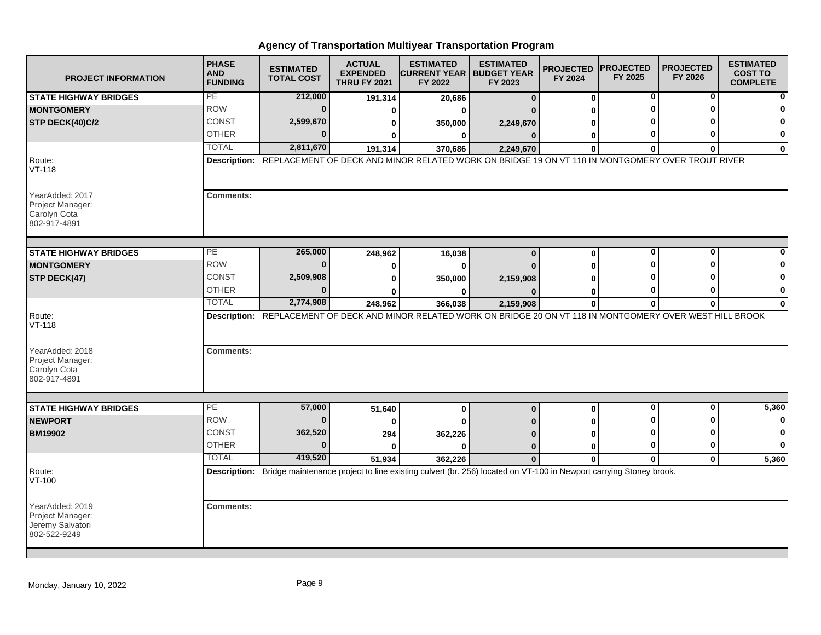| <b>PROJECT INFORMATION</b>                                              | <b>PHASE</b><br><b>AND</b><br><b>FUNDING</b> | <b>ESTIMATED</b><br><b>TOTAL COST</b> | <b>ACTUAL</b><br><b>EXPENDED</b><br><b>THRU FY 2021</b> | <b>ESTIMATED</b><br><b>ICURRENT YEAR I BUDGET YEAR</b><br>FY 2022                                                              | <b>ESTIMATED</b><br>FY 2023 | <b>PROJECTED</b><br>FY 2024 | <b>PROJECTED</b><br>FY 2025 | <b>PROJECTED</b><br>FY 2026 | <b>ESTIMATED</b><br><b>COST TO</b><br><b>COMPLETE</b> |
|-------------------------------------------------------------------------|----------------------------------------------|---------------------------------------|---------------------------------------------------------|--------------------------------------------------------------------------------------------------------------------------------|-----------------------------|-----------------------------|-----------------------------|-----------------------------|-------------------------------------------------------|
| <b>STATE HIGHWAY BRIDGES</b>                                            | PE                                           | 212,000                               | 191,314                                                 | 20,686                                                                                                                         | $\Omega$                    | 0                           | 0                           | 0                           |                                                       |
| <b>MONTGOMERY</b>                                                       | <b>ROW</b>                                   | $\bf{0}$                              | 0                                                       | ŋ                                                                                                                              |                             | U                           |                             | ŋ                           |                                                       |
| STP DECK(40)C/2                                                         | <b>CONST</b>                                 | 2,599,670                             | 0                                                       | 350,000                                                                                                                        | 2,249,670                   | ŋ                           |                             |                             |                                                       |
|                                                                         | <b>OTHER</b>                                 | $\Omega$                              | 0                                                       | 0                                                                                                                              | $\mathbf{0}$                | 0                           | 0                           | O                           | 0                                                     |
|                                                                         | <b>TOTAL</b>                                 | 2,811,670                             | 191,314                                                 | 370,686                                                                                                                        | 2,249,670                   | $\bf{0}$                    | $\bf{0}$                    | $\bf{0}$                    | $\mathbf 0$                                           |
| Route:<br>$VT-118$                                                      |                                              |                                       |                                                         | Description: REPLACEMENT OF DECK AND MINOR RELATED WORK ON BRIDGE 19 ON VT 118 IN MONTGOMERY OVER TROUT RIVER                  |                             |                             |                             |                             |                                                       |
| YearAdded: 2017<br>Project Manager:<br>Carolyn Cota<br>802-917-4891     | <b>Comments:</b>                             |                                       |                                                         |                                                                                                                                |                             |                             |                             |                             |                                                       |
| <b>STATE HIGHWAY BRIDGES</b>                                            | $\overline{PE}$                              | 265,000                               | 248,962                                                 | 16,038                                                                                                                         | $\bf{0}$                    | 0                           | $\bf{0}$                    | $\bf{0}$                    |                                                       |
| <b>MONTGOMERY</b>                                                       | <b>ROW</b>                                   | $\mathbf{0}$                          | 0                                                       | 0                                                                                                                              |                             | U                           | ŋ                           | ∩                           |                                                       |
| STP DECK(47)                                                            | <b>CONST</b>                                 | 2,509,908                             | 0                                                       | 350,000                                                                                                                        | 2,159,908                   |                             |                             |                             | 0                                                     |
|                                                                         | <b>OTHER</b>                                 | $\Omega$                              | ŋ                                                       | ŋ                                                                                                                              |                             | 0                           | 0                           | 0                           | 0                                                     |
|                                                                         | <b>TOTAL</b>                                 | 2,774,908                             | 248,962                                                 | 366,038                                                                                                                        | 2,159,908                   | $\mathbf{0}$                | $\bf{0}$                    | $\mathbf{0}$                | $\bf{0}$                                              |
| Route:<br>$VT-118$                                                      |                                              |                                       |                                                         | Description: REPLACEMENT OF DECK AND MINOR RELATED WORK ON BRIDGE 20 ON VT 118 IN MONTGOMERY OVER WEST HILL BROOK              |                             |                             |                             |                             |                                                       |
| YearAdded: 2018<br>Project Manager:<br>Carolyn Cota<br>802-917-4891     | <b>Comments:</b>                             |                                       |                                                         |                                                                                                                                |                             |                             |                             |                             |                                                       |
| <b>STATE HIGHWAY BRIDGES</b>                                            | РE                                           | 57,000                                | 51,640                                                  | 0                                                                                                                              | $\bf{0}$                    | 0                           | 0                           | 0                           | 5,360                                                 |
| <b>NEWPORT</b>                                                          | <b>ROW</b>                                   | $\bf{0}$                              | 0                                                       | U                                                                                                                              |                             | U                           | ŋ                           | ŋ                           | 0                                                     |
| <b>BM19902</b>                                                          | CONST                                        | 362,520                               | 294                                                     | 362,226                                                                                                                        |                             | 0                           | O                           | ŋ                           | 0                                                     |
|                                                                         | <b>OTHER</b>                                 | $\Omega$                              | <sup>0</sup>                                            | 0                                                                                                                              | $\bf{0}$                    | 0                           | $\bf{0}$                    | $\bf{0}$                    | $\mathbf 0$                                           |
|                                                                         | <b>TOTAL</b>                                 | 419,520                               | 51,934                                                  | 362,226                                                                                                                        | $\bf{0}$                    | $\Omega$                    | $\bf{0}$                    | $\mathbf{0}$                | 5,360                                                 |
| Route:<br>VT-100                                                        |                                              |                                       |                                                         | Description: Bridge maintenance project to line existing culvert (br. 256) located on VT-100 in Newport carrying Stoney brook. |                             |                             |                             |                             |                                                       |
| YearAdded: 2019<br>Project Manager:<br>Jeremy Salvatori<br>802-522-9249 | <b>Comments:</b>                             |                                       |                                                         |                                                                                                                                |                             |                             |                             |                             |                                                       |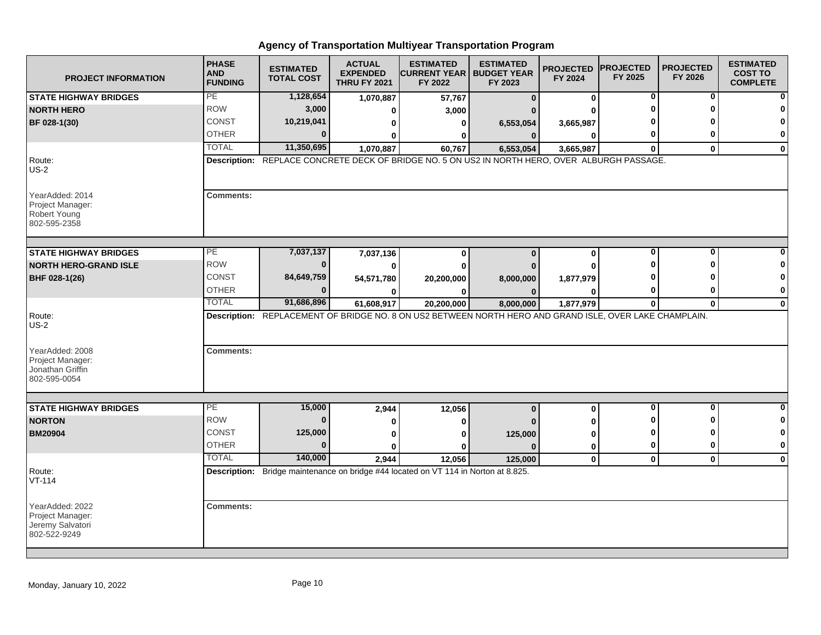| <b>PROJECT INFORMATION</b>                                                 | <b>PHASE</b><br><b>AND</b><br><b>FUNDING</b> | <b>ESTIMATED</b><br><b>TOTAL COST</b> | <b>ACTUAL</b><br><b>EXPENDED</b><br><b>THRU FY 2021</b> | <b>ESTIMATED</b><br><b>CURRENT YEAR   BUDGET YEAR</b><br>FY 2022                                        | <b>ESTIMATED</b><br>FY 2023 | <b>PROJECTED</b><br>FY 2024 | <b>IPROJECTED</b><br>FY 2025 | <b>PROJECTED</b><br>FY 2026 | <b>ESTIMATED</b><br><b>COST TO</b><br><b>COMPLETE</b> |
|----------------------------------------------------------------------------|----------------------------------------------|---------------------------------------|---------------------------------------------------------|---------------------------------------------------------------------------------------------------------|-----------------------------|-----------------------------|------------------------------|-----------------------------|-------------------------------------------------------|
| <b>STATE HIGHWAY BRIDGES</b>                                               | PE                                           | 1,128,654                             | 1,070,887                                               | 57,767                                                                                                  | $\bf{0}$                    | 0                           | $\bf{0}$                     | $\bf{0}$                    |                                                       |
| <b>NORTH HERO</b>                                                          | <b>ROW</b>                                   | 3,000                                 | 0                                                       | 3,000                                                                                                   |                             |                             |                              | n                           |                                                       |
| BF 028-1(30)                                                               | <b>CONST</b>                                 | 10,219,041                            | $\bf{0}$                                                | 0                                                                                                       | 6,553,054                   | 3,665,987                   |                              |                             | 0                                                     |
|                                                                            | <b>OTHER</b>                                 | 0                                     | $\bf{0}$                                                | O                                                                                                       | $\Omega$                    | $\bf{0}$                    |                              | ŋ                           | 0                                                     |
|                                                                            | <b>TOTAL</b>                                 | 11,350,695                            | 1,070,887                                               | 60,767                                                                                                  | 6,553,054                   | 3,665,987                   | $\mathbf{0}$                 | $\mathbf 0$                 | 0                                                     |
| Route:<br>$US-2$                                                           |                                              |                                       |                                                         | Description: REPLACE CONCRETE DECK OF BRIDGE NO. 5 ON US2 IN NORTH HERO, OVER ALBURGH PASSAGE.          |                             |                             |                              |                             |                                                       |
| YearAdded: 2014<br>Project Manager:<br><b>Robert Young</b><br>802-595-2358 | <b>Comments:</b>                             |                                       |                                                         |                                                                                                         |                             |                             |                              |                             |                                                       |
| <b>STATE HIGHWAY BRIDGES</b>                                               | PЕ                                           | 7,037,137                             | 7,037,136                                               | $\mathbf{0}$                                                                                            | $\bf{0}$                    | $\bf{0}$                    | 0                            | 0                           |                                                       |
| <b>NORTH HERO-GRAND ISLE</b>                                               | <b>ROW</b>                                   | $\bf{0}$                              | $\bf{0}$                                                | 0                                                                                                       |                             |                             |                              |                             | 0                                                     |
| BHF 028-1(26)                                                              | CONST                                        | 84,649,759                            | 54,571,780                                              | 20,200,000                                                                                              | 8,000,000                   | 1,877,979                   |                              |                             | $\bf{0}$                                              |
|                                                                            | <b>OTHER</b>                                 | 0                                     | 0                                                       | 0                                                                                                       | $\Omega$                    | O                           |                              |                             | 0                                                     |
|                                                                            | <b>TOTAL</b>                                 | 91,686,896                            | 61,608,917                                              | 20,200,000                                                                                              | 8,000,000                   | 1,877,979                   | $\bf{0}$                     | $\mathbf{0}$                | $\mathbf 0$                                           |
| Route:<br>$US-2$                                                           |                                              |                                       |                                                         | Description: REPLACEMENT OF BRIDGE NO. 8 ON US2 BETWEEN NORTH HERO AND GRAND ISLE, OVER LAKE CHAMPLAIN. |                             |                             |                              |                             |                                                       |
| YearAdded: 2008<br>Project Manager:<br>Jonathan Griffin<br>802-595-0054    | <b>Comments:</b>                             |                                       |                                                         |                                                                                                         |                             |                             |                              |                             |                                                       |
|                                                                            |                                              |                                       |                                                         |                                                                                                         |                             |                             |                              | O                           |                                                       |
| <b>STATE HIGHWAY BRIDGES</b>                                               | $\overline{PE}$<br><b>ROW</b>                | 15,000<br>$\bf{0}$                    | 2,944                                                   | 12,056                                                                                                  | $\bf{0}$                    | $\bf{0}$                    | 0                            |                             | 0<br>0                                                |
| <b>NORTON</b>                                                              | <b>CONST</b>                                 |                                       | 0                                                       | O                                                                                                       |                             |                             |                              |                             | $\bf{0}$                                              |
| <b>BM20904</b>                                                             | <b>OTHER</b>                                 | 125,000<br>$\bf{0}$                   | $\bf{0}$                                                | $\bf{0}$                                                                                                | 125,000                     |                             | 0                            | ŋ                           | 0                                                     |
|                                                                            | <b>TOTAL</b>                                 | 140,000                               | 0                                                       | ŋ                                                                                                       | $\Omega$                    | 0                           |                              |                             |                                                       |
|                                                                            |                                              |                                       | 2,944                                                   | 12,056                                                                                                  | 125,000                     | $\mathbf 0$                 | $\mathbf 0$                  | $\mathbf 0$                 | $\mathbf 0$                                           |
| Route:<br>$VT-114$                                                         |                                              |                                       |                                                         | Description: Bridge maintenance on bridge #44 located on VT 114 in Norton at 8.825.                     |                             |                             |                              |                             |                                                       |
| YearAdded: 2022<br>Project Manager:<br>Jeremy Salvatori<br>802-522-9249    | <b>Comments:</b>                             |                                       |                                                         |                                                                                                         |                             |                             |                              |                             |                                                       |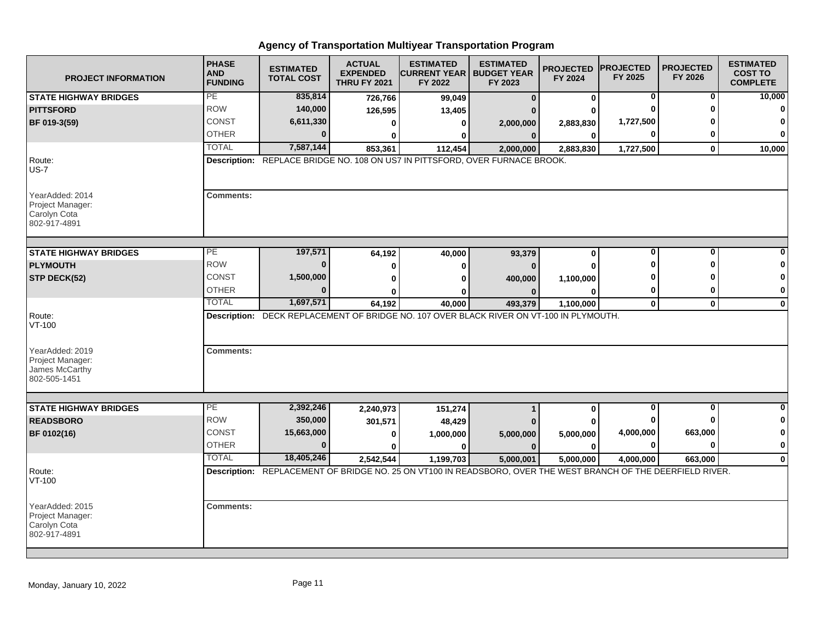| <b>PROJECT INFORMATION</b>                                            | <b>PHASE</b><br><b>AND</b><br><b>FUNDING</b> | <b>ESTIMATED</b><br><b>TOTAL COST</b> | <b>ACTUAL</b><br><b>EXPENDED</b><br><b>THRU FY 2021</b> | <b>ESTIMATED</b><br><b>CURRENT YEAR   BUDGET YEAR</b><br>FY 2022                                              | <b>ESTIMATED</b><br>FY 2023 | <b>PROJECTED</b><br>FY 2024 | <b>IPROJECTED</b><br>FY 2025 | <b>PROJECTED</b><br>FY 2026 | <b>ESTIMATED</b><br><b>COST TO</b><br><b>COMPLETE</b> |
|-----------------------------------------------------------------------|----------------------------------------------|---------------------------------------|---------------------------------------------------------|---------------------------------------------------------------------------------------------------------------|-----------------------------|-----------------------------|------------------------------|-----------------------------|-------------------------------------------------------|
| <b>STATE HIGHWAY BRIDGES</b>                                          | PE                                           | 835,814                               | 726,766                                                 | 99,049                                                                                                        | $\bf{0}$                    | $\mathbf 0$                 | 0                            | $\bf{0}$                    | 10,000                                                |
| <b>PITTSFORD</b>                                                      | <b>ROW</b>                                   | 140,000                               | 126,595                                                 | 13,405                                                                                                        |                             |                             | ∩                            | ŋ                           | $\bf{0}$                                              |
| BF 019-3(59)                                                          | <b>CONST</b>                                 | 6,611,330                             | $\bf{0}$                                                | $\bf{0}$                                                                                                      | 2,000,000                   | 2,883,830                   | 1,727,500                    |                             | 0                                                     |
|                                                                       | <b>OTHER</b>                                 | 0                                     | $\bf{0}$                                                | 0                                                                                                             | $\bf{0}$                    | $\bf{0}$                    | 0                            | 0                           | $\bf{0}$                                              |
|                                                                       | <b>TOTAL</b>                                 | 7,587,144                             | 853,361                                                 | 112,454                                                                                                       | 2,000,000                   | 2,883,830                   | 1,727,500                    | $\mathbf{0}$                | 10,000                                                |
| Route:<br>$US-7$                                                      |                                              |                                       |                                                         | Description: REPLACE BRIDGE NO. 108 ON US7 IN PITTSFORD, OVER FURNACE BROOK.                                  |                             |                             |                              |                             |                                                       |
| YearAdded: 2014<br>Project Manager:<br>Carolyn Cota<br>802-917-4891   | Comments:                                    |                                       |                                                         |                                                                                                               |                             |                             |                              |                             |                                                       |
| <b>STATE HIGHWAY BRIDGES</b>                                          | PE                                           | 197,571                               | 64,192                                                  | 40,000                                                                                                        | 93,379                      | 0                           | 0                            | 0                           |                                                       |
| <b>PLYMOUTH</b>                                                       | <b>ROW</b>                                   | $\bf{0}$                              | $\bf{0}$                                                | $\bf{0}$                                                                                                      | $\bf{0}$                    | $\Omega$                    | ŋ                            | ŋ                           |                                                       |
| STP DECK(52)                                                          | <b>CONST</b>                                 | 1,500,000                             | $\bf{0}$                                                | $\bf{0}$                                                                                                      | 400,000                     | 1,100,000                   |                              |                             | O                                                     |
|                                                                       | <b>OTHER</b>                                 | $\bf{0}$                              | ŋ                                                       | n                                                                                                             | $\Omega$                    | 0                           | 0                            | 0                           | 0                                                     |
|                                                                       | <b>TOTAL</b>                                 | 1,697,571                             | 64,192                                                  | 40,000                                                                                                        | 493,379                     | 1,100,000                   | $\mathbf 0$                  | $\mathbf 0$                 | $\mathbf 0$                                           |
| Route:<br>$VT-100$                                                    |                                              |                                       |                                                         | Description: DECK REPLACEMENT OF BRIDGE NO. 107 OVER BLACK RIVER ON VT-100 IN PLYMOUTH.                       |                             |                             |                              |                             |                                                       |
| YearAdded: 2019<br>Project Manager:<br>James McCarthy<br>802-505-1451 | <b>Comments:</b>                             |                                       |                                                         |                                                                                                               |                             |                             |                              |                             |                                                       |
|                                                                       |                                              |                                       |                                                         |                                                                                                               |                             |                             |                              |                             |                                                       |
| <b>STATE HIGHWAY BRIDGES</b>                                          | PE                                           | 2,392,246                             | 2,240,973                                               | 151,274                                                                                                       |                             | $\mathbf 0$                 | $\bf{0}$                     | $\mathbf{0}$                | $\bf{0}$                                              |
| <b>READSBORO</b>                                                      | <b>ROW</b>                                   | 350,000                               | 301,571                                                 | 48,429                                                                                                        |                             | ŋ                           | n                            | $\bf{0}$                    | 0                                                     |
| BF 0102(16)                                                           | CONST                                        | 15,663,000                            | 0                                                       | 1,000,000                                                                                                     | 5,000,000                   | 5,000,000                   | 4,000,000                    | 663,000                     | $\mathbf 0$                                           |
|                                                                       | <b>OTHER</b>                                 | $\mathbf{0}$                          | 0                                                       | $\bf{0}$                                                                                                      | $\bf{0}$                    | 0                           | 0                            | $\bf{0}$                    | $\bf{0}$                                              |
|                                                                       | <b>TOTAL</b>                                 | 18,405,246                            | 2,542,544                                               | 1,199,703                                                                                                     | 5,000,001                   | 5,000,000                   | 4,000,000                    | 663.000                     | $\bf{0}$                                              |
| Route:<br>VT-100                                                      |                                              |                                       |                                                         | Description: REPLACEMENT OF BRIDGE NO. 25 ON VT100 IN READSBORO, OVER THE WEST BRANCH OF THE DEERFIELD RIVER. |                             |                             |                              |                             |                                                       |
| YearAdded: 2015<br>Project Manager:<br>Carolyn Cota<br>802-917-4891   | <b>Comments:</b>                             |                                       |                                                         |                                                                                                               |                             |                             |                              |                             |                                                       |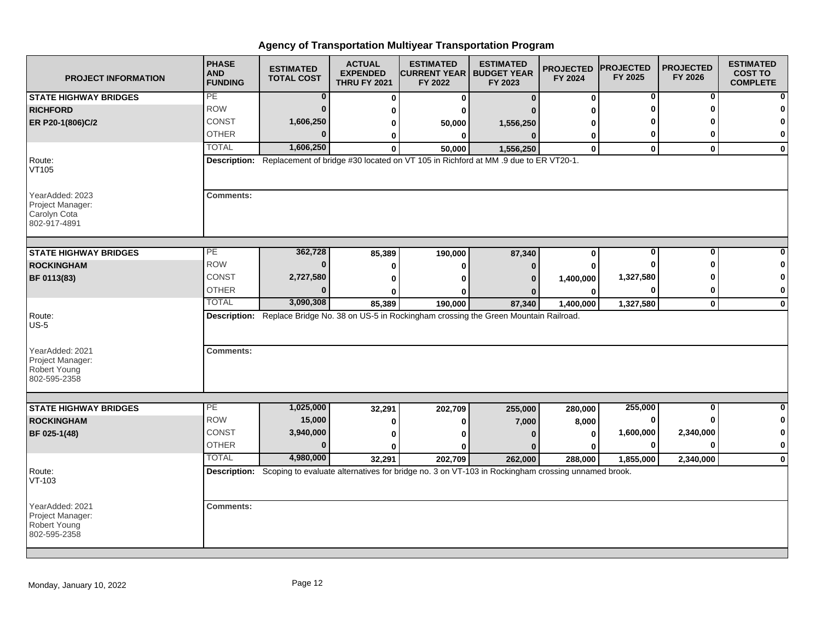| <b>PROJECT INFORMATION</b>                                          | <b>PHASE</b><br><b>AND</b><br><b>FUNDING</b> | <b>ESTIMATED</b><br><b>TOTAL COST</b> | <b>ACTUAL</b><br><b>EXPENDED</b><br><b>THRU FY 2021</b> | <b>ESTIMATED</b><br><b>CURRENT YEAR   BUDGET YEAR</b><br>FY 2022                                               | <b>ESTIMATED</b><br>FY 2023 | <b>PROJECTED</b><br>FY 2024 | <b>PROJECTED</b><br>FY 2025 | <b>PROJECTED</b><br>FY 2026 | <b>ESTIMATED</b><br><b>COST TO</b><br><b>COMPLETE</b> |
|---------------------------------------------------------------------|----------------------------------------------|---------------------------------------|---------------------------------------------------------|----------------------------------------------------------------------------------------------------------------|-----------------------------|-----------------------------|-----------------------------|-----------------------------|-------------------------------------------------------|
| <b>STATE HIGHWAY BRIDGES</b>                                        | PE                                           | $\bf{0}$                              | 0                                                       | 0                                                                                                              | $\Omega$                    | 0                           | 0                           | 0                           |                                                       |
| <b>RICHFORD</b>                                                     | <b>ROW</b>                                   | $\bf{0}$                              | 0                                                       | ŋ                                                                                                              |                             | U                           | ŋ                           | ŋ                           |                                                       |
| ER P20-1(806)C/2                                                    | <b>CONST</b>                                 | 1,606,250                             | 0                                                       | 50,000                                                                                                         | 1,556,250                   | ŋ                           |                             |                             |                                                       |
|                                                                     | <b>OTHER</b>                                 | $\Omega$                              | 0                                                       | $\bf{0}$                                                                                                       | $\Omega$                    | 0                           | 0                           | ŋ                           | 0                                                     |
|                                                                     | <b>TOTAL</b>                                 | 1,606,250                             | $\Omega$                                                | 50,000                                                                                                         | 1,556,250                   | $\mathbf{0}$                | $\mathbf{0}$                | $\mathbf{0}$                | $\mathbf{0}$                                          |
| Route:<br>VT105                                                     |                                              |                                       |                                                         | Description: Replacement of bridge #30 located on VT 105 in Richford at MM .9 due to ER VT20-1.                |                             |                             |                             |                             |                                                       |
| YearAdded: 2023<br>Project Manager:<br>Carolyn Cota<br>802-917-4891 | <b>Comments:</b>                             |                                       |                                                         |                                                                                                                |                             |                             |                             |                             |                                                       |
| <b>STATE HIGHWAY BRIDGES</b>                                        | PE                                           | 362,728                               |                                                         |                                                                                                                |                             |                             | $\mathbf 0$                 | $\bf{0}$                    |                                                       |
| <b>ROCKINGHAM</b>                                                   | <b>ROW</b>                                   | $\bf{0}$                              | 85,389                                                  | 190,000                                                                                                        | 87,340                      | 0                           | 0                           | ŋ                           |                                                       |
|                                                                     | <b>CONST</b>                                 | 2,727,580                             | 0                                                       | 0                                                                                                              | O                           | U                           | 1,327,580                   |                             | 0                                                     |
| BF 0113(83)                                                         | <b>OTHER</b>                                 | $\Omega$                              | 0                                                       | O                                                                                                              | $\Omega$                    | 1,400,000                   | 0                           | 0                           | 0                                                     |
|                                                                     | <b>TOTAL</b>                                 | 3,090,308                             | U<br>85,389                                             | ŋ<br>190,000                                                                                                   | 87,340                      | 0<br>1,400,000              | 1,327,580                   | $\mathbf 0$                 | $\bf{0}$                                              |
| Route:<br>$US-5$                                                    |                                              |                                       |                                                         | Description: Replace Bridge No. 38 on US-5 in Rockingham crossing the Green Mountain Railroad.                 |                             |                             |                             |                             |                                                       |
| YearAdded: 2021<br>Project Manager:<br>Robert Young<br>802-595-2358 | <b>Comments:</b>                             |                                       |                                                         |                                                                                                                |                             |                             |                             |                             |                                                       |
| <b>STATE HIGHWAY BRIDGES</b>                                        | $\overline{PE}$                              | 1,025,000                             | 32,291                                                  | 202,709                                                                                                        | 255,000                     | 280,000                     | 255,000                     | $\bf{0}$                    |                                                       |
| <b>ROCKINGHAM</b>                                                   | <b>ROW</b>                                   | 15,000                                | 0                                                       | 0                                                                                                              | 7,000                       | 8,000                       | 0                           |                             | 0                                                     |
| BF 025-1(48)                                                        | CONST                                        | 3,940,000                             | 0                                                       | ŋ                                                                                                              |                             | 0                           | 1,600,000                   | 2,340,000                   | 0                                                     |
|                                                                     | <b>OTHER</b>                                 | $\Omega$                              |                                                         |                                                                                                                |                             | ŋ                           | 0                           | $\bf{0}$                    | $\bf{0}$                                              |
|                                                                     | <b>TOTAL</b>                                 | 4,980,000                             | 32,291                                                  | 202,709                                                                                                        | 262,000                     | 288,000                     | 1,855,000                   | 2,340,000                   | $\mathbf 0$                                           |
| Route:<br>VT-103                                                    |                                              |                                       |                                                         | Description: Scoping to evaluate alternatives for bridge no. 3 on VT-103 in Rockingham crossing unnamed brook. |                             |                             |                             |                             |                                                       |
| YearAdded: 2021<br>Project Manager:<br>Robert Young<br>802-595-2358 | <b>Comments:</b>                             |                                       |                                                         |                                                                                                                |                             |                             |                             |                             |                                                       |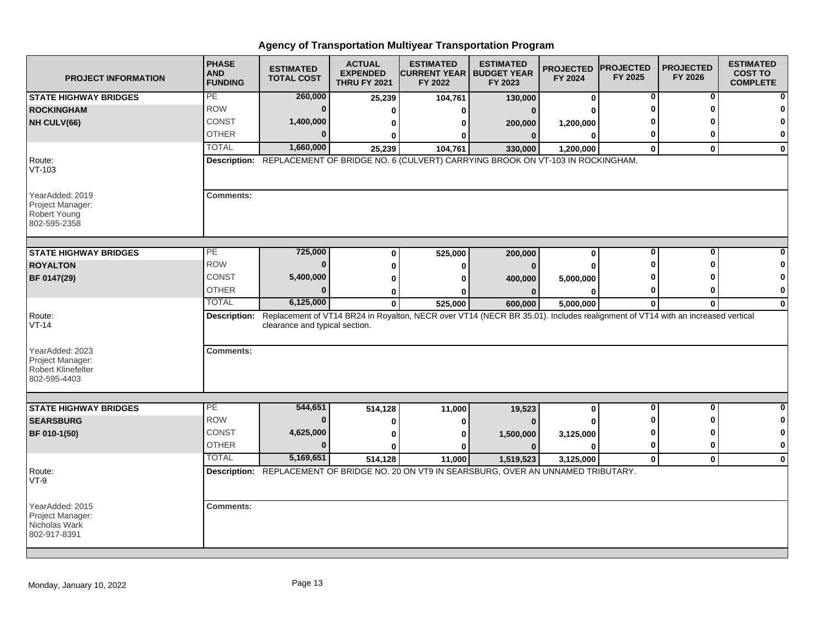| <b>PROJECT INFORMATION</b>                                                       | <b>PHASE</b><br><b>AND</b><br><b>FUNDING</b> | <b>ESTIMATED</b><br><b>TOTAL COST</b> | <b>ACTUAL</b><br><b>EXPENDED</b><br><b>THRU FY 2021</b> | <b>ESTIMATED</b><br><b>CURRENT YEAR   BUDGET YEAR</b><br>FY 2022                                                              | <b>ESTIMATED</b><br>FY 2023 | <b>PROJECTED</b><br>FY 2024 | <b>PROJECTED</b><br>FY 2025 | <b>PROJECTED</b><br>FY 2026 | <b>ESTIMATED</b><br><b>COST TO</b><br><b>COMPLETE</b> |
|----------------------------------------------------------------------------------|----------------------------------------------|---------------------------------------|---------------------------------------------------------|-------------------------------------------------------------------------------------------------------------------------------|-----------------------------|-----------------------------|-----------------------------|-----------------------------|-------------------------------------------------------|
| <b>STATE HIGHWAY BRIDGES</b>                                                     | PE                                           | 260,000                               | 25,239                                                  | 104,761                                                                                                                       | 130,000                     | $\bf{0}$                    | 0                           | 0                           | ŋ                                                     |
| <b>ROCKINGHAM</b>                                                                | <b>ROW</b>                                   | $\bf{0}$                              | $\Omega$                                                | 0                                                                                                                             | $\Omega$                    |                             |                             |                             |                                                       |
| NH CULV(66)                                                                      | <b>CONST</b>                                 | 1,400,000                             | 0                                                       | 0                                                                                                                             | 200,000                     | 1,200,000                   |                             |                             | 0                                                     |
|                                                                                  | <b>OTHER</b>                                 | $\Omega$                              | 0                                                       | 0                                                                                                                             | 0                           | $\bf{0}$                    | 0                           | O                           | 0                                                     |
|                                                                                  | <b>TOTAL</b>                                 | 1,660,000                             | 25,239                                                  | 104,761                                                                                                                       | 330,000                     | 1,200,000                   | $\bf{0}$                    | $\bf{0}$                    | 0                                                     |
| Route:<br>$VT-103$                                                               |                                              |                                       |                                                         | Description: REPLACEMENT OF BRIDGE NO. 6 (CULVERT) CARRYING BROOK ON VT-103 IN ROCKINGHAM.                                    |                             |                             |                             |                             |                                                       |
| YearAdded: 2019<br>Project Manager:<br>Robert Young<br>802-595-2358              | <b>Comments:</b>                             |                                       |                                                         |                                                                                                                               |                             |                             |                             |                             |                                                       |
| <b>STATE HIGHWAY BRIDGES</b>                                                     | PE                                           | 725,000                               | 0                                                       | 525,000                                                                                                                       | 200,000                     | 0                           | $\bf{0}$                    | O                           |                                                       |
| <b>ROYALTON</b>                                                                  | <b>ROW</b>                                   | $\Omega$                              | 0                                                       | 0                                                                                                                             | $\Omega$                    | O                           |                             |                             |                                                       |
| BF 0147(29)                                                                      | CONST                                        | 5,400,000                             | 0                                                       | 0                                                                                                                             | 400,000                     | 5,000,000                   |                             |                             | 0                                                     |
|                                                                                  | <b>OTHER</b>                                 | $\Omega$                              | 0                                                       | ŋ                                                                                                                             | $\Omega$                    | 0                           | 0                           | o                           | 0                                                     |
|                                                                                  | <b>TOTAL</b>                                 | 6,125,000                             | $\mathbf{0}$                                            | 525,000                                                                                                                       | 600,000                     | 5,000,000                   | $\bf{0}$                    | $\bf{0}$                    | 0                                                     |
| Route:<br>$VT-14$                                                                | Description:                                 | clearance and typical section.        |                                                         | Replacement of VT14 BR24 in Royalton, NECR over VT14 (NECR BR 35.01). Includes realignment of VT14 with an increased vertical |                             |                             |                             |                             |                                                       |
| YearAdded: 2023<br>Project Manager:<br><b>Robert Klinefelter</b><br>802-595-4403 | <b>Comments:</b>                             |                                       |                                                         |                                                                                                                               |                             |                             |                             |                             |                                                       |
| <b>STATE HIGHWAY BRIDGES</b>                                                     | PE                                           | 544,651                               | 514,128                                                 | 11,000                                                                                                                        | 19,523                      | 0                           | $\bf{0}$                    | O                           | 0                                                     |
| <b>SEARSBURG</b>                                                                 | <b>ROW</b>                                   | $\bf{0}$                              | 0                                                       | 0                                                                                                                             |                             |                             |                             | ŋ                           | 0                                                     |
| BF 010-1(50)                                                                     | <b>CONST</b>                                 | 4,625,000                             | 0                                                       | 0                                                                                                                             | 1,500,000                   | 3,125,000                   |                             |                             | 0                                                     |
|                                                                                  | <b>OTHER</b>                                 | $\Omega$                              | <sup>0</sup>                                            | ŋ                                                                                                                             | $\Omega$                    | <sup>0</sup>                | $\bf{0}$                    | $\mathbf{0}$                | 0                                                     |
|                                                                                  | <b>TOTAL</b>                                 | 5,169,651                             | 514,128                                                 | 11,000                                                                                                                        | 1,519,523                   | 3,125,000                   | $\mathbf 0$                 | $\mathbf{0}$                | $\bf{0}$                                              |
| Route:<br>$VT-9$                                                                 |                                              |                                       |                                                         | Description: REPLACEMENT OF BRIDGE NO. 20 ON VT9 IN SEARSBURG, OVER AN UNNAMED TRIBUTARY.                                     |                             |                             |                             |                             |                                                       |
| YearAdded: 2015<br>Project Manager:<br>Nicholas Wark<br>802-917-8391             | <b>Comments:</b>                             |                                       |                                                         |                                                                                                                               |                             |                             |                             |                             |                                                       |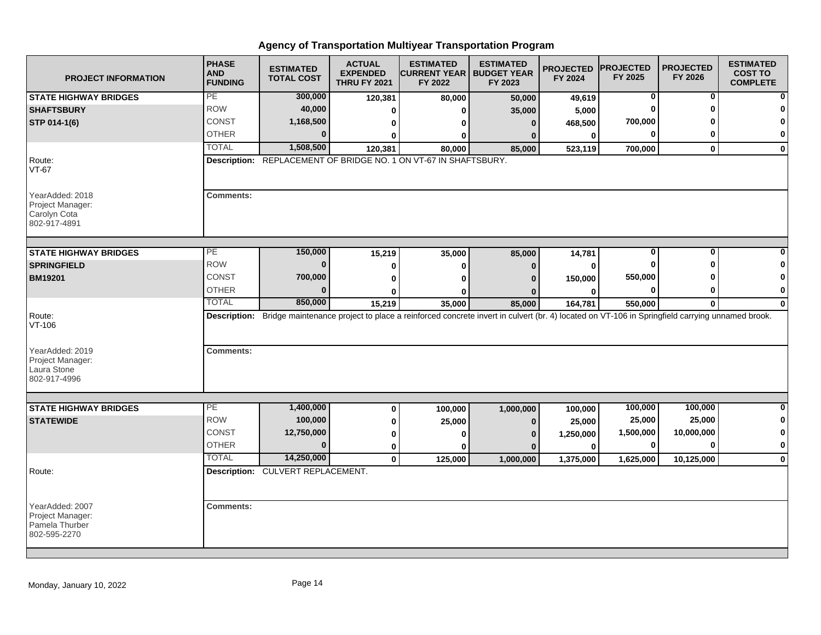| <b>PROJECT INFORMATION</b>                                            | <b>PHASE</b><br><b>AND</b><br><b>FUNDING</b> | <b>ESTIMATED</b><br><b>TOTAL COST</b> | <b>ACTUAL</b><br><b>EXPENDED</b><br><b>THRU FY 2021</b> | <b>ESTIMATED</b><br><b>CURRENT YEAR   BUDGET YEAR</b><br>FY 2022                                                                                          | <b>ESTIMATED</b><br>FY 2023 | <b>PROJECTED</b><br>FY 2024 | <b>PROJECTED</b><br>FY 2025 | <b>PROJECTED</b><br>FY 2026 | <b>ESTIMATED</b><br><b>COST TO</b><br><b>COMPLETE</b> |
|-----------------------------------------------------------------------|----------------------------------------------|---------------------------------------|---------------------------------------------------------|-----------------------------------------------------------------------------------------------------------------------------------------------------------|-----------------------------|-----------------------------|-----------------------------|-----------------------------|-------------------------------------------------------|
| <b>STATE HIGHWAY BRIDGES</b>                                          | PE                                           | 300,000                               | 120,381                                                 | 80,000                                                                                                                                                    | 50,000                      | 49,619                      | 0                           | 0                           | $\mathbf{0}$                                          |
| <b>SHAFTSBURY</b>                                                     | <b>ROW</b>                                   | 40,000                                | 0                                                       |                                                                                                                                                           | 35,000                      | 5,000                       |                             |                             | $\mathbf{0}$                                          |
| STP 014-1(6)                                                          | CONST                                        | 1,168,500                             | 0                                                       |                                                                                                                                                           | 0                           | 468,500                     | 700,000                     |                             | $\mathbf{0}$                                          |
|                                                                       | <b>OTHER</b>                                 |                                       | ŋ                                                       |                                                                                                                                                           | $\Omega$                    | $\mathbf{0}$                |                             |                             | $\mathbf{0}$                                          |
|                                                                       | <b>TOTAL</b>                                 | 1,508,500                             | 120,381                                                 | 80.000                                                                                                                                                    | 85,000                      | 523,119                     | 700,000                     | $\mathbf{0}$                | $\mathbf{0}$                                          |
| Route:<br>$VT-67$                                                     |                                              |                                       |                                                         | <b>Description:</b> REPLACEMENT OF BRIDGE NO. 1 ON VT-67 IN SHAFTSBURY.                                                                                   |                             |                             |                             |                             |                                                       |
| YearAdded: 2018<br>Project Manager:<br>Carolyn Cota<br>802-917-4891   | <b>Comments:</b>                             |                                       |                                                         |                                                                                                                                                           |                             |                             |                             |                             |                                                       |
| <b>STATE HIGHWAY BRIDGES</b>                                          | $\overline{PE}$                              | 150,000                               | 15,219                                                  | 35,000                                                                                                                                                    | 85,000                      | 14,781                      | 0                           | $\Omega$                    | 0                                                     |
| <b>SPRINGFIELD</b>                                                    | <b>ROW</b>                                   | $\bf{0}$                              | 0                                                       | 0                                                                                                                                                         | 0                           | 0                           |                             |                             | $\bf{0}$                                              |
| <b>BM19201</b>                                                        | CONST                                        | 700,000                               | 0                                                       |                                                                                                                                                           |                             | 150,000                     | 550,000                     |                             | $\mathbf 0$                                           |
|                                                                       | <b>OTHER</b>                                 | n                                     | U                                                       |                                                                                                                                                           |                             | n                           | O                           |                             | $\mathbf{0}$                                          |
|                                                                       | <b>TOTAL</b>                                 | 850,000                               | 15,219                                                  | 35,000                                                                                                                                                    | 85,000                      | 164,781                     | 550,000                     | $\mathbf{0}$                | $\mathbf{0}$                                          |
| Route:<br>$VT-106$                                                    |                                              |                                       |                                                         | Description: Bridge maintenance project to place a reinforced concrete invert in culvert (br. 4) located on VT-106 in Springfield carrying unnamed brook. |                             |                             |                             |                             |                                                       |
| YearAdded: 2019<br>Project Manager:<br>Laura Stone<br>802-917-4996    | <b>Comments:</b>                             |                                       |                                                         |                                                                                                                                                           |                             |                             |                             |                             |                                                       |
| <b>STATE HIGHWAY BRIDGES</b>                                          | PE                                           | 1,400,000                             | 0                                                       | 100,000                                                                                                                                                   | 1,000,000                   | 100,000                     | 100,000                     | 100,000                     | $\mathbf{0}$                                          |
| <b>STATEWIDE</b>                                                      | <b>ROW</b>                                   | 100,000                               | 0                                                       | 25,000                                                                                                                                                    | $\Omega$                    | 25,000                      | 25,000                      | 25,000                      | $\mathbf{0}$                                          |
|                                                                       | <b>CONST</b>                                 | 12,750,000                            | 0                                                       |                                                                                                                                                           | n                           | 1,250,000                   | 1,500,000                   | 10,000,000                  | $\mathbf{0}$                                          |
|                                                                       | <b>OTHER</b>                                 | $\bf{0}$                              | 0                                                       |                                                                                                                                                           | $\Omega$                    | $\bf{0}$                    | 0                           |                             | $\mathbf{0}$                                          |
|                                                                       | <b>TOTAL</b>                                 | 14,250,000                            | $\mathbf 0$                                             | 125,000                                                                                                                                                   | 1,000,000                   | 1,375,000                   | 1,625,000                   | 10,125,000                  | $\mathbf{0}$                                          |
| Route:                                                                |                                              | Description: CULVERT REPLACEMENT.     |                                                         |                                                                                                                                                           |                             |                             |                             |                             |                                                       |
| YearAdded: 2007<br>Project Manager:<br>Pamela Thurber<br>802-595-2270 | <b>Comments:</b>                             |                                       |                                                         |                                                                                                                                                           |                             |                             |                             |                             |                                                       |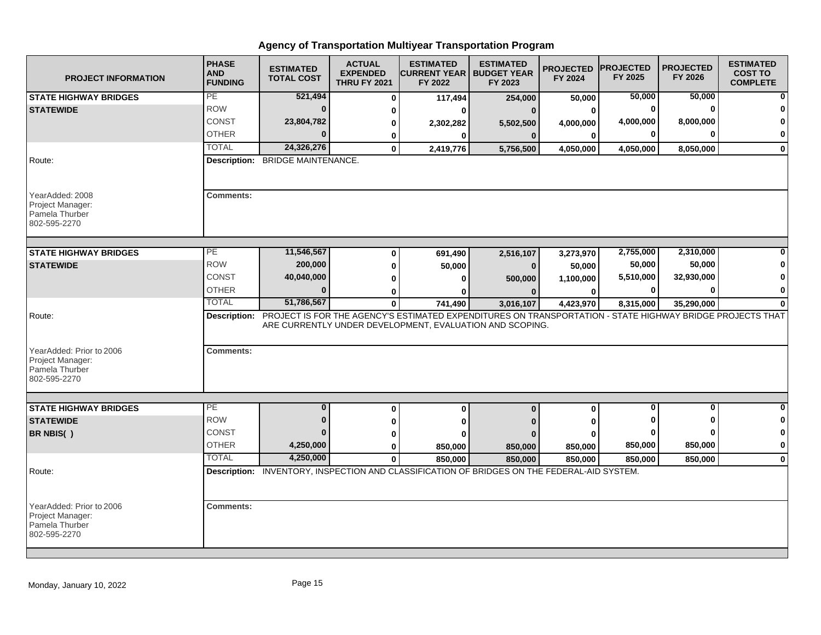| <b>PROJECT INFORMATION</b>                                                     | <b>PHASE</b><br><b>AND</b><br><b>FUNDING</b> | <b>ESTIMATED</b><br><b>TOTAL COST</b>                                                                                  | <b>ACTUAL</b><br><b>EXPENDED</b><br><b>THRU FY 2021</b> | <b>ESTIMATED</b><br><b>CURRENT YEAR   BUDGET YEAR</b><br>FY 2022 | <b>ESTIMATED</b><br>FY 2023 | <b>PROJECTED</b><br>FY 2024 | <b>PROJECTED</b><br>FY 2025 | <b>PROJECTED</b><br>FY 2026 | <b>ESTIMATED</b><br><b>COST TO</b><br><b>COMPLETE</b> |
|--------------------------------------------------------------------------------|----------------------------------------------|------------------------------------------------------------------------------------------------------------------------|---------------------------------------------------------|------------------------------------------------------------------|-----------------------------|-----------------------------|-----------------------------|-----------------------------|-------------------------------------------------------|
| <b>STATE HIGHWAY BRIDGES</b>                                                   | PE                                           | 521,494                                                                                                                | $\bf{0}$                                                | 117,494                                                          | 254,000                     | 50,000                      | 50,000                      | 50,000                      |                                                       |
| <b>STATEWIDE</b>                                                               | <b>ROW</b>                                   | 0                                                                                                                      | 0                                                       | 0                                                                |                             | 0                           | 0                           | $\mathbf{0}$                |                                                       |
|                                                                                | <b>CONST</b>                                 | 23,804,782                                                                                                             | 0                                                       | 2,302,282                                                        | 5,502,500                   | 4,000,000                   | 4,000,000                   | 8,000,000                   |                                                       |
|                                                                                | <b>OTHER</b>                                 | $\bf{0}$                                                                                                               | 0                                                       | $\mathbf{0}$                                                     | $\bf{0}$                    | $\bf{0}$                    | 0                           | <sup>0</sup>                | $\bf{0}$                                              |
|                                                                                | <b>TOTAL</b>                                 | 24,326,276                                                                                                             | $\mathbf 0$                                             | 2,419,776                                                        | 5,756,500                   | 4,050,000                   | 4,050,000                   | 8,050,000                   | $\mathbf{0}$                                          |
| Route:                                                                         |                                              | <b>Description: BRIDGE MAINTENANCE.</b>                                                                                |                                                         |                                                                  |                             |                             |                             |                             |                                                       |
| YearAdded: 2008<br>Project Manager:<br>Pamela Thurber<br>802-595-2270          | <b>Comments:</b>                             |                                                                                                                        |                                                         |                                                                  |                             |                             |                             |                             |                                                       |
| <b>STATE HIGHWAY BRIDGES</b>                                                   | PE                                           | 11,546,567                                                                                                             |                                                         |                                                                  |                             |                             | 2,755,000                   | 2,310,000                   |                                                       |
| <b>STATEWIDE</b>                                                               | <b>ROW</b>                                   | 200,000                                                                                                                | $\bf{0}$                                                | 691,490                                                          | 2,516,107                   | 3,273,970                   | 50,000                      | 50,000                      |                                                       |
|                                                                                | <b>CONST</b>                                 | 40,040,000                                                                                                             | $\bf{0}$<br>$\bf{0}$                                    | 50,000<br>0                                                      | $\bf{0}$                    | 50,000<br>1,100,000         | 5,510,000                   | 32,930,000                  |                                                       |
|                                                                                | <b>OTHER</b>                                 | $\bf{0}$                                                                                                               | 0                                                       | 0                                                                | 500,000                     | 0                           | 0                           | $\bf{0}$                    | $\mathbf 0$                                           |
|                                                                                | <b>TOTAL</b>                                 | 51,786,567                                                                                                             | 0                                                       | 741,490                                                          | 3,016,107                   | 4,423,970                   | 8,315,000                   | 35,290,000                  | $\bf{0}$                                              |
| Route:                                                                         |                                              | Description: PROJECT IS FOR THE AGENCY'S ESTIMATED EXPENDITURES ON TRANSPORTATION - STATE HIGHWAY BRIDGE PROJECTS THAT |                                                         |                                                                  |                             |                             |                             |                             |                                                       |
| YearAdded: Prior to 2006                                                       | <b>Comments:</b>                             |                                                                                                                        |                                                         | ARE CURRENTLY UNDER DEVELOPMENT, EVALUATION AND SCOPING.         |                             |                             |                             |                             |                                                       |
| Project Manager:<br>Pamela Thurber<br>802-595-2270                             |                                              |                                                                                                                        |                                                         |                                                                  |                             |                             |                             |                             |                                                       |
| <b>STATE HIGHWAY BRIDGES</b>                                                   | PE                                           | $\bf{0}$                                                                                                               | $\bf{0}$                                                | $\mathbf 0$                                                      | $\bf{0}$                    | $\mathbf{0}$                | $\bf{0}$                    | 0                           | $\bf{0}$                                              |
| <b>STATEWIDE</b>                                                               | <b>ROW</b>                                   | $\bf{0}$                                                                                                               | ŋ                                                       | 0                                                                |                             |                             |                             | ŋ                           | 0                                                     |
| BR NBIS()                                                                      | <b>CONST</b>                                 | $\bf{0}$                                                                                                               | 0                                                       | Λ                                                                |                             |                             | $\bf{0}$                    | ŋ                           | 0                                                     |
|                                                                                | <b>OTHER</b>                                 | 4,250,000                                                                                                              | $\bf{0}$                                                | 850,000                                                          | 850,000                     | 850,000                     | 850,000                     | 850,000                     | $\bf{0}$                                              |
|                                                                                | <b>TOTAL</b>                                 | 4,250,000                                                                                                              | $\mathbf{0}$                                            | 850.000                                                          | 850.000                     | 850.000                     | 850,000                     | 850,000                     | $\bf{0}$                                              |
| Route:                                                                         |                                              | Description: INVENTORY, INSPECTION AND CLASSIFICATION OF BRIDGES ON THE FEDERAL-AID SYSTEM.                            |                                                         |                                                                  |                             |                             |                             |                             |                                                       |
| YearAdded: Prior to 2006<br>Project Manager:<br>Pamela Thurber<br>802-595-2270 | <b>Comments:</b>                             |                                                                                                                        |                                                         |                                                                  |                             |                             |                             |                             |                                                       |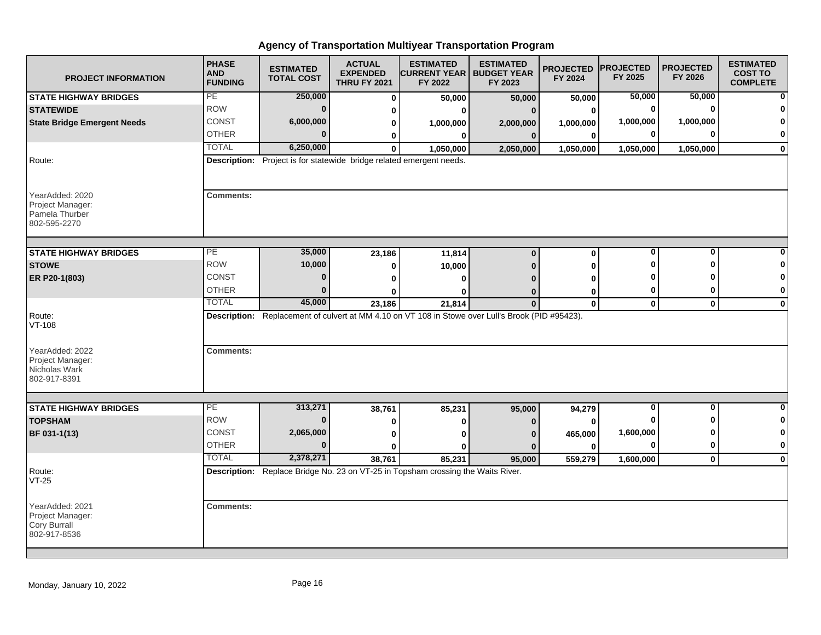| <b>PROJECT INFORMATION</b>                                            | <b>PHASE</b><br><b>AND</b><br><b>FUNDING</b> | <b>ESTIMATED</b><br><b>TOTAL COST</b>                                | <b>ACTUAL</b><br><b>EXPENDED</b><br><b>THRU FY 2021</b> | <b>ESTIMATED</b><br><b>CURRENT YEAR   BUDGET YEAR</b><br>FY 2022                                  | <b>ESTIMATED</b><br>FY 2023 | <b>PROJECTED</b><br>FY 2024 | <b>PROJECTED</b><br>FY 2025 | <b>PROJECTED</b><br>FY 2026 | <b>ESTIMATED</b><br><b>COST TO</b><br><b>COMPLETE</b> |
|-----------------------------------------------------------------------|----------------------------------------------|----------------------------------------------------------------------|---------------------------------------------------------|---------------------------------------------------------------------------------------------------|-----------------------------|-----------------------------|-----------------------------|-----------------------------|-------------------------------------------------------|
| <b>STATE HIGHWAY BRIDGES</b>                                          | PE                                           | 250,000                                                              | $\bf{0}$                                                | 50,000                                                                                            | 50,000                      | 50,000                      | 50,000                      | 50,000                      |                                                       |
| <b>STATEWIDE</b>                                                      | <b>ROW</b>                                   | $\mathbf{0}$                                                         | 0                                                       | ŋ                                                                                                 |                             | $\bf{0}$                    | $\bf{0}$                    | $\Omega$                    |                                                       |
| <b>State Bridge Emergent Needs</b>                                    | <b>CONST</b>                                 | 6,000,000                                                            | 0                                                       | 1,000,000                                                                                         | 2,000,000                   | 1,000,000                   | 1,000,000                   | 1,000,000                   |                                                       |
|                                                                       | <b>OTHER</b>                                 | $\Omega$                                                             | 0                                                       | 0                                                                                                 | 0                           | $\bf{0}$                    | 0                           | U                           | O                                                     |
|                                                                       | <b>TOTAL</b>                                 | 6,250,000                                                            | $\bf{0}$                                                | 1,050,000                                                                                         | 2,050,000                   | 1,050,000                   | 1,050,000                   | 1,050,000                   | $\mathbf 0$                                           |
| Route:                                                                |                                              | Description: Project is for statewide bridge related emergent needs. |                                                         |                                                                                                   |                             |                             |                             |                             |                                                       |
| YearAdded: 2020<br>Project Manager:<br>Pamela Thurber<br>802-595-2270 | <b>Comments:</b>                             |                                                                      |                                                         |                                                                                                   |                             |                             |                             |                             |                                                       |
| <b>STATE HIGHWAY BRIDGES</b>                                          | $\overline{PE}$                              | 35,000                                                               | 23,186                                                  | 11,814                                                                                            | $\mathbf 0$                 | 0                           | $\bf{0}$                    | 0                           |                                                       |
| <b>STOWE</b>                                                          | <b>ROW</b>                                   | 10,000                                                               | 0                                                       | 10,000                                                                                            |                             | 0                           | Ω                           | Λ                           |                                                       |
| ER P20-1(803)                                                         | CONST                                        | $\bf{0}$                                                             | 0                                                       | ŋ                                                                                                 |                             | O                           |                             |                             |                                                       |
|                                                                       | <b>OTHER</b>                                 | $\bf{0}$                                                             | ŋ                                                       | ŋ                                                                                                 |                             | $\bf{0}$                    | 0                           | 0                           | 0                                                     |
|                                                                       | <b>TOTAL</b>                                 | 45,000                                                               | 23,186                                                  | 21,814                                                                                            | $\mathbf{0}$                | $\mathbf 0$                 | $\mathbf{0}$                | $\mathbf{0}$                | $\bf{0}$                                              |
| Route:<br>VT-108                                                      |                                              |                                                                      |                                                         | Description: Replacement of culvert at MM 4.10 on VT 108 in Stowe over Lull's Brook (PID #95423). |                             |                             |                             |                             |                                                       |
| YearAdded: 2022<br>Project Manager:<br>Nicholas Wark<br>802-917-8391  | <b>Comments:</b>                             |                                                                      |                                                         |                                                                                                   |                             |                             |                             |                             |                                                       |
| <b>STATE HIGHWAY BRIDGES</b>                                          | PE                                           | 313,271                                                              |                                                         | 85,231                                                                                            |                             |                             | 0                           | 0                           | $\bf{0}$                                              |
| <b>TOPSHAM</b>                                                        | <b>ROW</b>                                   | $\bf{0}$                                                             | 38,761<br>0                                             | ŋ                                                                                                 | 95,000                      | 94,279<br>$\Omega$          |                             | ŋ                           | -0                                                    |
| BF 031-1(13)                                                          | <b>CONST</b>                                 | 2,065,000                                                            | 0                                                       | ŋ                                                                                                 |                             | 465,000                     | 1,600,000                   | ŋ                           | 0                                                     |
|                                                                       | <b>OTHER</b>                                 | $\Omega$                                                             | 0                                                       | Λ                                                                                                 |                             | O                           | $\bf{0}$                    | $\bf{0}$                    | $\bf{0}$                                              |
|                                                                       | <b>TOTAL</b>                                 | 2,378,271                                                            | 38,761                                                  | 85,231                                                                                            | 95,000                      | 559,279                     | 1,600,000                   | $\mathbf{0}$                | $\mathbf 0$                                           |
| Route:<br>$VT-25$                                                     |                                              |                                                                      |                                                         | Description: Replace Bridge No. 23 on VT-25 in Topsham crossing the Waits River.                  |                             |                             |                             |                             |                                                       |
| YearAdded: 2021<br>Project Manager:<br>Cory Burrall<br>802-917-8536   | <b>Comments:</b>                             |                                                                      |                                                         |                                                                                                   |                             |                             |                             |                             |                                                       |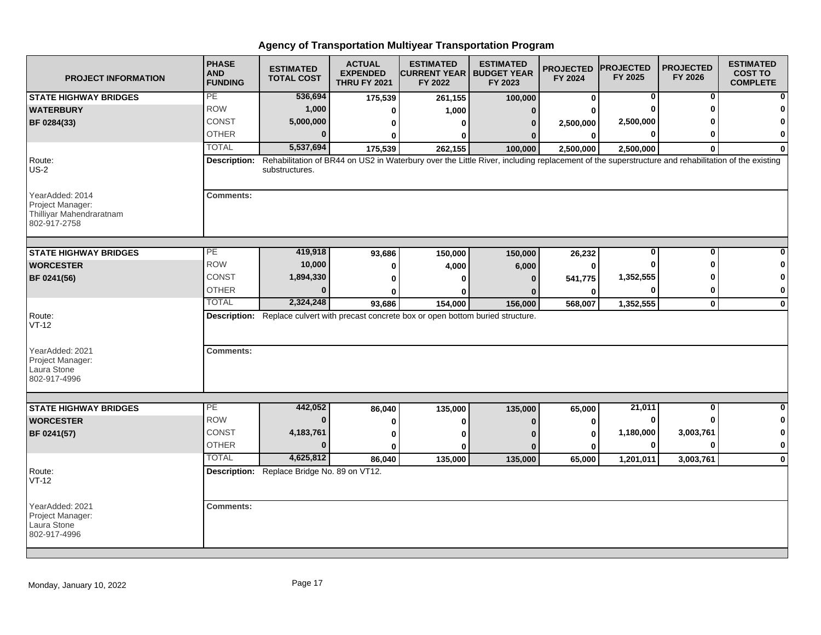| <b>PROJECT INFORMATION</b>                                                      | <b>PHASE</b><br><b>AND</b><br><b>FUNDING</b> | <b>ESTIMATED</b><br><b>TOTAL COST</b>       | <b>ACTUAL</b><br><b>EXPENDED</b><br><b>THRU FY 2021</b> | <b>ESTIMATED</b><br><b>CURRENT YEAR   BUDGET YEAR</b><br>FY 2022                                                                                 | <b>ESTIMATED</b><br>FY 2023 | <b>PROJECTED</b><br>FY 2024 | <b>PROJECTED</b><br>FY 2025 | <b>PROJECTED</b><br>FY 2026 | <b>ESTIMATED</b><br><b>COST TO</b><br><b>COMPLETE</b> |
|---------------------------------------------------------------------------------|----------------------------------------------|---------------------------------------------|---------------------------------------------------------|--------------------------------------------------------------------------------------------------------------------------------------------------|-----------------------------|-----------------------------|-----------------------------|-----------------------------|-------------------------------------------------------|
| <b>STATE HIGHWAY BRIDGES</b>                                                    | PE                                           | 536,694                                     | 175,539                                                 | 261,155                                                                                                                                          | 100,000                     | $\bf{0}$                    | 0                           | 0                           | $\mathbf{0}$                                          |
| <b>WATERBURY</b>                                                                | <b>ROW</b>                                   | 1,000                                       | 0                                                       | 1,000                                                                                                                                            |                             |                             |                             |                             | $\bf{0}$                                              |
| BF 0284(33)                                                                     | <b>CONST</b>                                 | 5,000,000                                   |                                                         | ŋ                                                                                                                                                | 0                           | 2,500,000                   | 2,500,000                   |                             | 0                                                     |
|                                                                                 | <b>OTHER</b>                                 | $\bf{0}$                                    |                                                         |                                                                                                                                                  |                             | $\bf{0}$                    | ŋ                           |                             | $\mathbf{0}$                                          |
|                                                                                 | <b>TOTAL</b>                                 | 5,537,694                                   | 175,539                                                 | 262,155                                                                                                                                          | 100,000                     | 2,500,000                   | 2,500,000                   | 0                           | $\mathbf{0}$                                          |
| Route:<br>$US-2$                                                                | <b>Description:</b>                          | substructures.                              |                                                         | Rehabilitation of BR44 on US2 in Waterbury over the Little River, including replacement of the superstructure and rehabilitation of the existing |                             |                             |                             |                             |                                                       |
| YearAdded: 2014<br>Project Manager:<br>Thilliyar Mahendraratnam<br>802-917-2758 | <b>Comments:</b>                             |                                             |                                                         |                                                                                                                                                  |                             |                             |                             |                             |                                                       |
| <b>STATE HIGHWAY BRIDGES</b>                                                    | $\overline{PE}$                              | 419,918                                     | 93,686                                                  | 150,000                                                                                                                                          | 150,000                     | 26,232                      | 0                           | $\Omega$                    |                                                       |
| <b>WORCESTER</b>                                                                | <b>ROW</b>                                   | 10,000                                      | 0                                                       | 4,000                                                                                                                                            | 6,000                       |                             |                             |                             | $\bf{0}$                                              |
| BF 0241(56)                                                                     | CONST                                        | 1,894,330                                   | 0                                                       |                                                                                                                                                  |                             | 541,775                     | 1,352,555                   |                             | $\mathbf 0$                                           |
|                                                                                 | <b>OTHER</b>                                 | ŋ                                           |                                                         |                                                                                                                                                  |                             |                             |                             |                             | $\mathbf{0}$                                          |
|                                                                                 | <b>TOTAL</b>                                 | 2,324,248                                   | 93,686                                                  | 154,000                                                                                                                                          | 156,000                     | 568,007                     | 1,352,555                   | $\mathbf 0$                 | $\mathbf{0}$                                          |
| Route:<br>$VT-12$                                                               |                                              |                                             |                                                         | Description: Replace culvert with precast concrete box or open bottom buried structure.                                                          |                             |                             |                             |                             |                                                       |
| YearAdded: 2021<br>Project Manager:<br>Laura Stone<br>802-917-4996              | <b>Comments:</b>                             |                                             |                                                         |                                                                                                                                                  |                             |                             |                             |                             |                                                       |
|                                                                                 | PE                                           | 442,052                                     |                                                         |                                                                                                                                                  |                             |                             | 21,011                      | $\bf{0}$                    | $\mathbf{0}$                                          |
| <b>STATE HIGHWAY BRIDGES</b><br><b>WORCESTER</b>                                | <b>ROW</b>                                   | $\Omega$                                    | 86,040                                                  | 135,000                                                                                                                                          | 135,000                     | 65,000                      | $\bf{0}$                    |                             | $\mathbf{0}$                                          |
|                                                                                 | <b>CONST</b>                                 | 4,183,761                                   | 0                                                       |                                                                                                                                                  |                             | 0                           | 1,180,000                   | 3,003,761                   | $\mathbf{0}$                                          |
| BF 0241(57)                                                                     | <b>OTHER</b>                                 | $\bf{0}$                                    | 0                                                       |                                                                                                                                                  |                             | 0                           | 0                           |                             | $\mathbf{0}$                                          |
|                                                                                 | <b>TOTAL</b>                                 | 4,625,812                                   | 0                                                       |                                                                                                                                                  |                             | O                           |                             |                             |                                                       |
| Route:                                                                          |                                              | Description: Replace Bridge No. 89 on VT12. | 86.040                                                  | 135,000                                                                                                                                          | 135,000                     | 65,000                      | 1,201,011                   | 3,003,761                   | $\mathbf{0}$                                          |
| $VT-12$                                                                         |                                              |                                             |                                                         |                                                                                                                                                  |                             |                             |                             |                             |                                                       |
| YearAdded: 2021<br>Project Manager:<br>Laura Stone<br>802-917-4996              | <b>Comments:</b>                             |                                             |                                                         |                                                                                                                                                  |                             |                             |                             |                             |                                                       |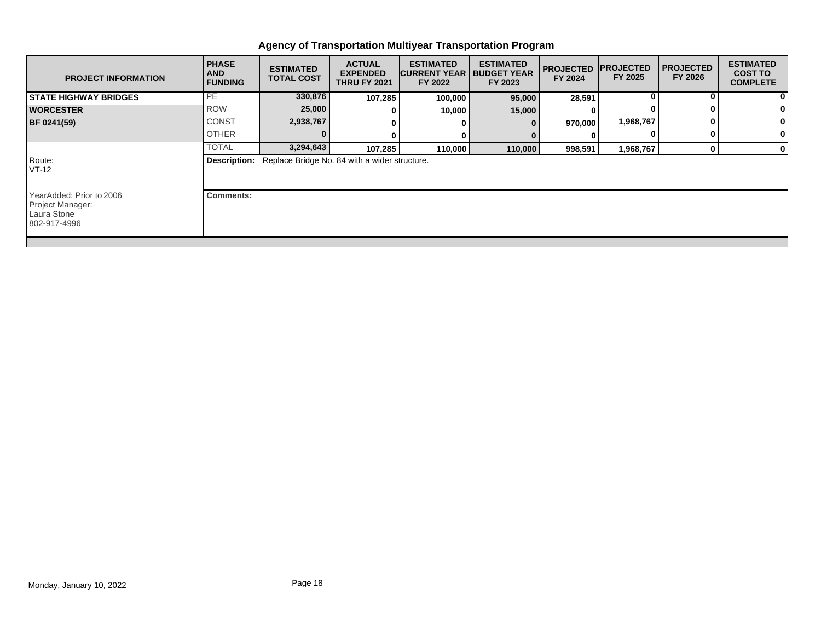| <b>PROJECT INFORMATION</b>                                                  | <b>PHASE</b><br><b>AND</b><br><b>FUNDING</b> | <b>ESTIMATED</b><br><b>TOTAL COST</b> | <b>ACTUAL</b><br><b>EXPENDED</b><br><b>THRU FY 2021</b> | <b>ESTIMATED</b><br><b>CURRENT YEAR</b><br>FY 2022 | <b>ESTIMATED</b><br><b>BUDGET YEAR</b><br>FY 2023 | <b>PROJECTED</b><br>FY 2024 | <b>IPROJECTED</b><br>FY 2025 | <b>PROJECTED</b><br>FY 2026 | <b>ESTIMATED</b><br><b>COST TO</b><br><b>COMPLETE</b> |
|-----------------------------------------------------------------------------|----------------------------------------------|---------------------------------------|---------------------------------------------------------|----------------------------------------------------|---------------------------------------------------|-----------------------------|------------------------------|-----------------------------|-------------------------------------------------------|
| <b>STATE HIGHWAY BRIDGES</b>                                                | PE                                           | 330,876                               | 107,285                                                 | 100,000                                            | 95,000                                            | 28,591                      |                              |                             | 0                                                     |
| <b>WORCESTER</b>                                                            | <b>ROW</b>                                   | 25,000                                |                                                         | 10,000                                             | 15,000                                            |                             |                              |                             |                                                       |
| <b>BF 0241(59)</b>                                                          | <b>CONST</b>                                 | 2,938,767                             |                                                         |                                                    | 0                                                 | 970,000                     | 1,968,767                    |                             |                                                       |
|                                                                             | <b>OTHER</b>                                 |                                       | 0                                                       |                                                    |                                                   |                             |                              | $\mathbf{0}$                | 0                                                     |
|                                                                             | <b>TOTAL</b>                                 | 3,294,643                             | 107,285                                                 | 110,000                                            | 110,000                                           | 998,591                     | 1,968,767                    | $\mathbf{0}$                | 0                                                     |
| Route:<br>VT-12                                                             | Description:                                 |                                       | Replace Bridge No. 84 with a wider structure.           |                                                    |                                                   |                             |                              |                             |                                                       |
| YearAdded: Prior to 2006<br>Project Manager:<br>Laura Stone<br>802-917-4996 | <b>Comments:</b>                             |                                       |                                                         |                                                    |                                                   |                             |                              |                             |                                                       |
|                                                                             |                                              |                                       |                                                         |                                                    |                                                   |                             |                              |                             |                                                       |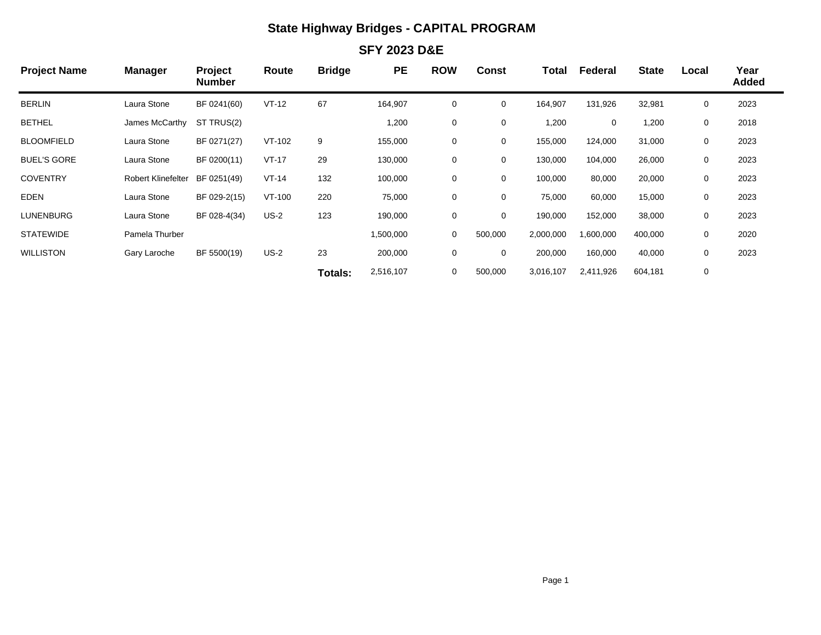## **State Highway Bridges - CAPITAL PROGRAM**

### **SFY 2023 D&E**

| <b>Project Name</b> | <b>Manager</b>            | Project<br><b>Number</b> | Route   | <b>Bridge</b>  | <b>PE</b> | <b>ROW</b> | <b>Const</b> | Total     | Federal   | <b>State</b> | Local | Year<br><b>Added</b> |
|---------------------|---------------------------|--------------------------|---------|----------------|-----------|------------|--------------|-----------|-----------|--------------|-------|----------------------|
| <b>BERLIN</b>       | Laura Stone               | BF 0241(60)              | $VT-12$ | 67             | 164,907   | 0          | 0            | 164,907   | 131,926   | 32,981       | 0     | 2023                 |
| <b>BETHEL</b>       | James McCarthy            | ST TRUS(2)               |         |                | 1,200     | 0          | 0            | 1,200     | 0         | 1,200        | 0     | 2018                 |
| <b>BLOOMFIELD</b>   | Laura Stone               | BF 0271(27)              | VT-102  | 9              | 155,000   | 0          | 0            | 155,000   | 124,000   | 31,000       | 0     | 2023                 |
| <b>BUEL'S GORE</b>  | Laura Stone               | BF 0200(11)              | $VT-17$ | 29             | 130,000   | 0          | 0            | 130,000   | 104,000   | 26,000       | 0     | 2023                 |
| <b>COVENTRY</b>     | <b>Robert Klinefelter</b> | BF 0251(49)              | $VT-14$ | 132            | 100,000   | 0          | 0            | 100,000   | 80,000    | 20,000       | 0     | 2023                 |
| <b>EDEN</b>         | Laura Stone               | BF 029-2(15)             | VT-100  | 220            | 75,000    | 0          | 0            | 75,000    | 60,000    | 15,000       | 0     | 2023                 |
| LUNENBURG           | Laura Stone               | BF 028-4(34)             | $US-2$  | 123            | 190,000   | 0          | 0            | 190,000   | 152,000   | 38,000       | 0     | 2023                 |
| <b>STATEWIDE</b>    | Pamela Thurber            |                          |         |                | 1,500,000 | 0          | 500,000      | 2,000,000 | 1,600,000 | 400,000      | 0     | 2020                 |
| <b>WILLISTON</b>    | Gary Laroche              | BF 5500(19)              | $US-2$  | 23             | 200,000   | 0          | 0            | 200,000   | 160,000   | 40,000       | 0     | 2023                 |
|                     |                           |                          |         | <b>Totals:</b> | 2,516,107 | 0          | 500,000      | 3,016,107 | 2,411,926 | 604,181      | 0     |                      |